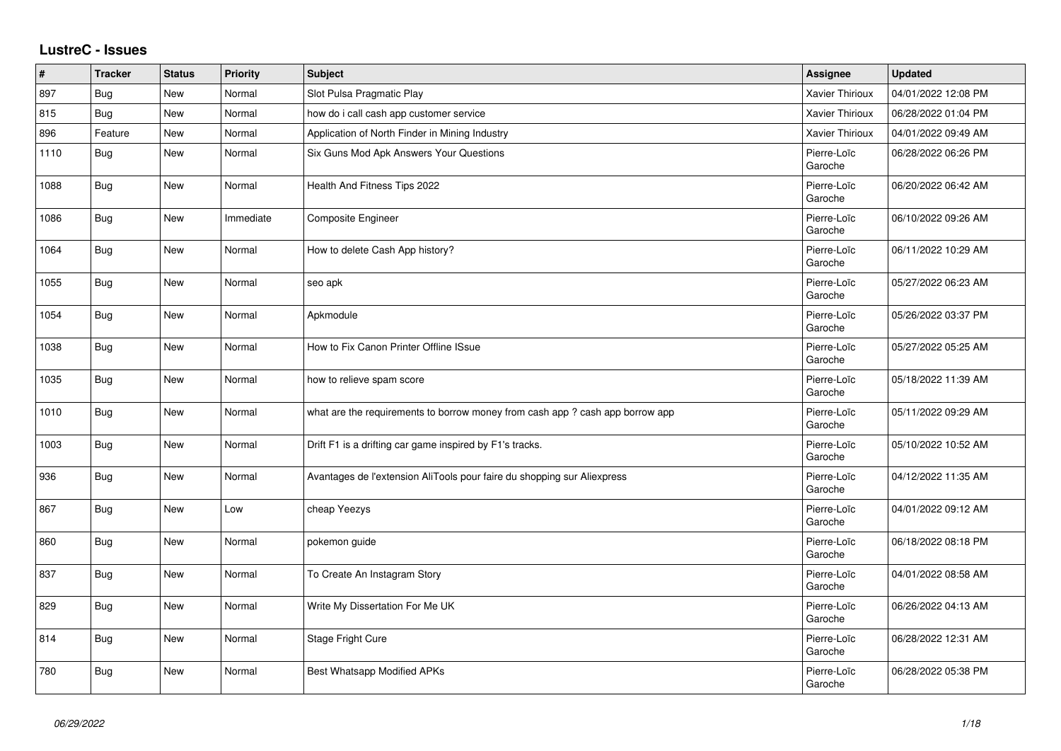## **LustreC - Issues**

| #    | <b>Tracker</b> | <b>Status</b> | <b>Priority</b> | <b>Subject</b>                                                                | Assignee               | <b>Updated</b>      |
|------|----------------|---------------|-----------------|-------------------------------------------------------------------------------|------------------------|---------------------|
| 897  | Bug            | New           | Normal          | Slot Pulsa Pragmatic Play                                                     | <b>Xavier Thirioux</b> | 04/01/2022 12:08 PM |
| 815  | Bug            | New           | Normal          | how do i call cash app customer service                                       | Xavier Thirioux        | 06/28/2022 01:04 PM |
| 896  | Feature        | New           | Normal          | Application of North Finder in Mining Industry                                | Xavier Thirioux        | 04/01/2022 09:49 AM |
| 1110 | <b>Bug</b>     | New           | Normal          | Six Guns Mod Apk Answers Your Questions                                       | Pierre-Loïc<br>Garoche | 06/28/2022 06:26 PM |
| 1088 | <b>Bug</b>     | New           | Normal          | Health And Fitness Tips 2022                                                  | Pierre-Loïc<br>Garoche | 06/20/2022 06:42 AM |
| 1086 | <b>Bug</b>     | <b>New</b>    | Immediate       | Composite Engineer                                                            | Pierre-Loïc<br>Garoche | 06/10/2022 09:26 AM |
| 1064 | Bug            | New           | Normal          | How to delete Cash App history?                                               | Pierre-Loïc<br>Garoche | 06/11/2022 10:29 AM |
| 1055 | Bug            | New           | Normal          | seo apk                                                                       | Pierre-Loïc<br>Garoche | 05/27/2022 06:23 AM |
| 1054 | <b>Bug</b>     | New           | Normal          | Apkmodule                                                                     | Pierre-Loïc<br>Garoche | 05/26/2022 03:37 PM |
| 1038 | <b>Bug</b>     | <b>New</b>    | Normal          | How to Fix Canon Printer Offline ISsue                                        | Pierre-Loïc<br>Garoche | 05/27/2022 05:25 AM |
| 1035 | <b>Bug</b>     | New           | Normal          | how to relieve spam score                                                     | Pierre-Loïc<br>Garoche | 05/18/2022 11:39 AM |
| 1010 | <b>Bug</b>     | New           | Normal          | what are the requirements to borrow money from cash app ? cash app borrow app | Pierre-Loïc<br>Garoche | 05/11/2022 09:29 AM |
| 1003 | Bug            | New           | Normal          | Drift F1 is a drifting car game inspired by F1's tracks.                      | Pierre-Loïc<br>Garoche | 05/10/2022 10:52 AM |
| 936  | Bug            | New           | Normal          | Avantages de l'extension AliTools pour faire du shopping sur Aliexpress       | Pierre-Loïc<br>Garoche | 04/12/2022 11:35 AM |
| 867  | Bug            | New           | Low             | cheap Yeezys                                                                  | Pierre-Loïc<br>Garoche | 04/01/2022 09:12 AM |
| 860  | Bug            | New           | Normal          | pokemon guide                                                                 | Pierre-Loïc<br>Garoche | 06/18/2022 08:18 PM |
| 837  | <b>Bug</b>     | New           | Normal          | To Create An Instagram Story                                                  | Pierre-Loïc<br>Garoche | 04/01/2022 08:58 AM |
| 829  | <b>Bug</b>     | New           | Normal          | Write My Dissertation For Me UK                                               | Pierre-Loïc<br>Garoche | 06/26/2022 04:13 AM |
| 814  | <b>Bug</b>     | New           | Normal          | Stage Fright Cure                                                             | Pierre-Loïc<br>Garoche | 06/28/2022 12:31 AM |
| 780  | <b>Bug</b>     | New           | Normal          | Best Whatsapp Modified APKs                                                   | Pierre-Loïc<br>Garoche | 06/28/2022 05:38 PM |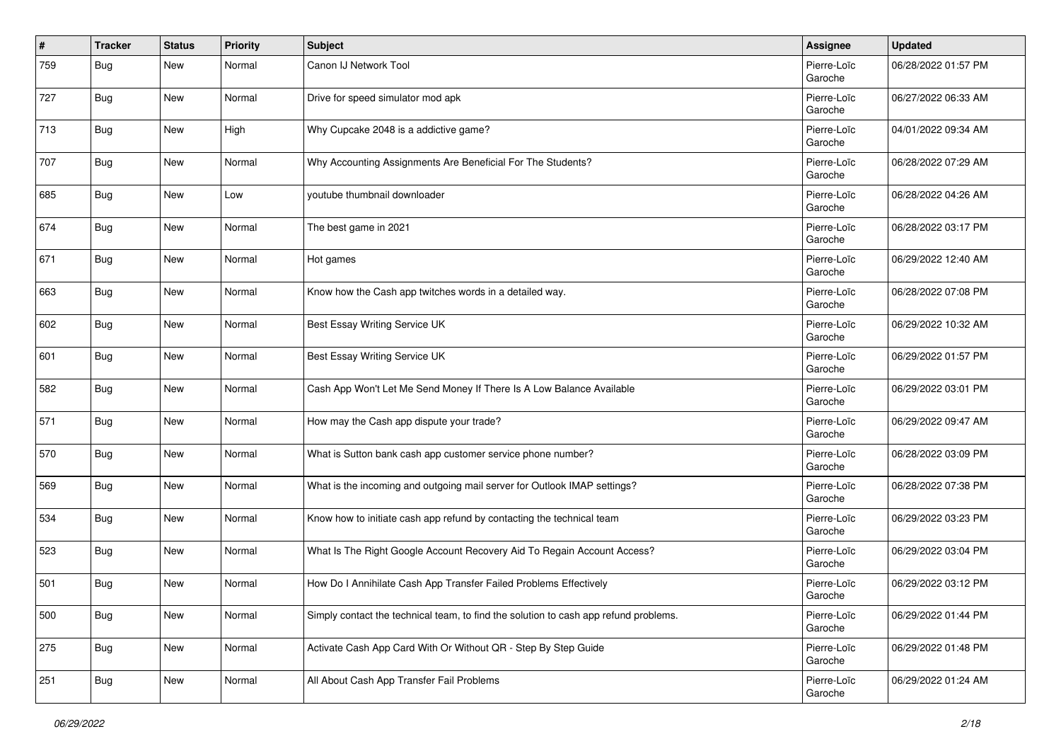| #   | <b>Tracker</b> | <b>Status</b> | <b>Priority</b> | <b>Subject</b>                                                                       | <b>Assignee</b>        | <b>Updated</b>      |
|-----|----------------|---------------|-----------------|--------------------------------------------------------------------------------------|------------------------|---------------------|
| 759 | Bug            | <b>New</b>    | Normal          | Canon IJ Network Tool                                                                | Pierre-Loïc<br>Garoche | 06/28/2022 01:57 PM |
| 727 | Bug            | <b>New</b>    | Normal          | Drive for speed simulator mod apk                                                    | Pierre-Loïc<br>Garoche | 06/27/2022 06:33 AM |
| 713 | Bug            | <b>New</b>    | High            | Why Cupcake 2048 is a addictive game?                                                | Pierre-Loïc<br>Garoche | 04/01/2022 09:34 AM |
| 707 | Bug            | New           | Normal          | Why Accounting Assignments Are Beneficial For The Students?                          | Pierre-Loïc<br>Garoche | 06/28/2022 07:29 AM |
| 685 | Bug            | <b>New</b>    | Low             | youtube thumbnail downloader                                                         | Pierre-Loïc<br>Garoche | 06/28/2022 04:26 AM |
| 674 | Bug            | New           | Normal          | The best game in 2021                                                                | Pierre-Loïc<br>Garoche | 06/28/2022 03:17 PM |
| 671 | Bug            | <b>New</b>    | Normal          | Hot games                                                                            | Pierre-Loïc<br>Garoche | 06/29/2022 12:40 AM |
| 663 | Bug            | New           | Normal          | Know how the Cash app twitches words in a detailed way.                              | Pierre-Loïc<br>Garoche | 06/28/2022 07:08 PM |
| 602 | Bug            | <b>New</b>    | Normal          | Best Essay Writing Service UK                                                        | Pierre-Loïc<br>Garoche | 06/29/2022 10:32 AM |
| 601 | Bug            | <b>New</b>    | Normal          | Best Essay Writing Service UK                                                        | Pierre-Loïc<br>Garoche | 06/29/2022 01:57 PM |
| 582 | Bug            | New           | Normal          | Cash App Won't Let Me Send Money If There Is A Low Balance Available                 | Pierre-Loïc<br>Garoche | 06/29/2022 03:01 PM |
| 571 | Bug            | <b>New</b>    | Normal          | How may the Cash app dispute your trade?                                             | Pierre-Loïc<br>Garoche | 06/29/2022 09:47 AM |
| 570 | Bug            | New           | Normal          | What is Sutton bank cash app customer service phone number?                          | Pierre-Loïc<br>Garoche | 06/28/2022 03:09 PM |
| 569 | Bug            | <b>New</b>    | Normal          | What is the incoming and outgoing mail server for Outlook IMAP settings?             | Pierre-Loïc<br>Garoche | 06/28/2022 07:38 PM |
| 534 | Bug            | New           | Normal          | Know how to initiate cash app refund by contacting the technical team                | Pierre-Loïc<br>Garoche | 06/29/2022 03:23 PM |
| 523 | Bug            | <b>New</b>    | Normal          | What Is The Right Google Account Recovery Aid To Regain Account Access?              | Pierre-Loïc<br>Garoche | 06/29/2022 03:04 PM |
| 501 | Bug            | New           | Normal          | How Do I Annihilate Cash App Transfer Failed Problems Effectively                    | Pierre-Loïc<br>Garoche | 06/29/2022 03:12 PM |
| 500 | Bug            | New           | Normal          | Simply contact the technical team, to find the solution to cash app refund problems. | Pierre-Loïc<br>Garoche | 06/29/2022 01:44 PM |
| 275 | Bug            | New           | Normal          | Activate Cash App Card With Or Without QR - Step By Step Guide                       | Pierre-Loïc<br>Garoche | 06/29/2022 01:48 PM |
| 251 | <b>Bug</b>     | New           | Normal          | All About Cash App Transfer Fail Problems                                            | Pierre-Loïc<br>Garoche | 06/29/2022 01:24 AM |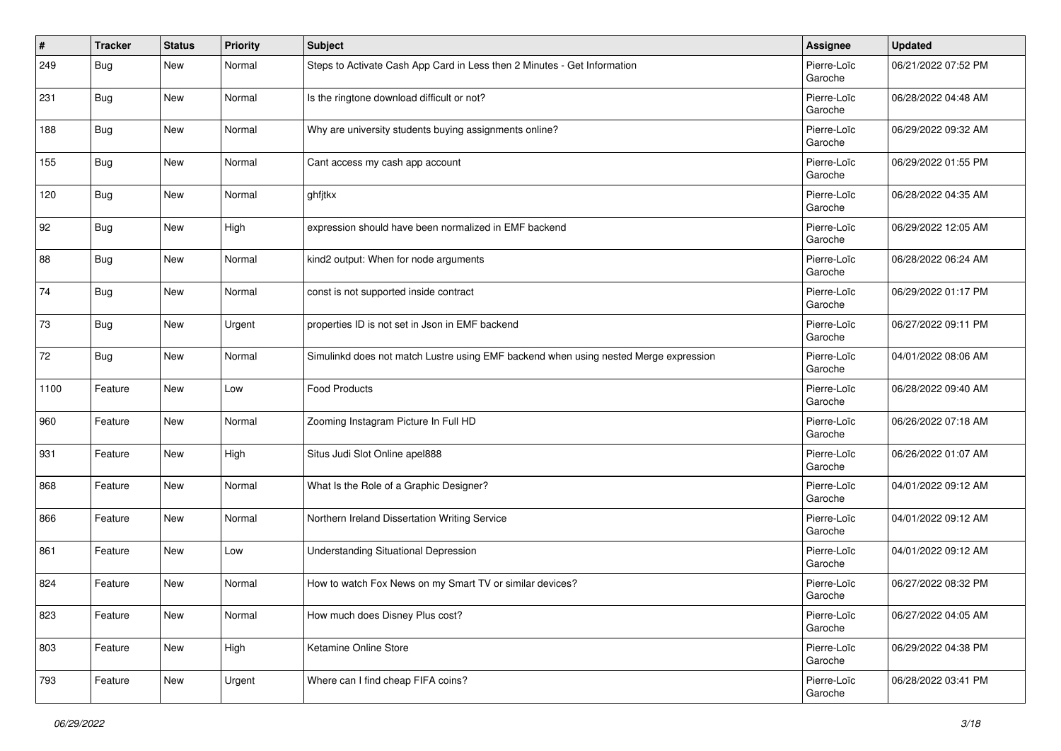| $\pmb{\#}$ | <b>Tracker</b> | <b>Status</b> | <b>Priority</b> | <b>Subject</b>                                                                       | <b>Assignee</b>        | <b>Updated</b>      |
|------------|----------------|---------------|-----------------|--------------------------------------------------------------------------------------|------------------------|---------------------|
| 249        | <b>Bug</b>     | New           | Normal          | Steps to Activate Cash App Card in Less then 2 Minutes - Get Information             | Pierre-Loïc<br>Garoche | 06/21/2022 07:52 PM |
| 231        | Bug            | New           | Normal          | Is the ringtone download difficult or not?                                           | Pierre-Loïc<br>Garoche | 06/28/2022 04:48 AM |
| 188        | <b>Bug</b>     | <b>New</b>    | Normal          | Why are university students buying assignments online?                               | Pierre-Loïc<br>Garoche | 06/29/2022 09:32 AM |
| 155        | Bug            | New           | Normal          | Cant access my cash app account                                                      | Pierre-Loïc<br>Garoche | 06/29/2022 01:55 PM |
| 120        | Bug            | <b>New</b>    | Normal          | ghfjtkx                                                                              | Pierre-Loïc<br>Garoche | 06/28/2022 04:35 AM |
| 92         | Bug            | <b>New</b>    | High            | expression should have been normalized in EMF backend                                | Pierre-Loïc<br>Garoche | 06/29/2022 12:05 AM |
| 88         | Bug            | New           | Normal          | kind2 output: When for node arguments                                                | Pierre-Loïc<br>Garoche | 06/28/2022 06:24 AM |
| 74         | Bug            | New           | Normal          | const is not supported inside contract                                               | Pierre-Loïc<br>Garoche | 06/29/2022 01:17 PM |
| 73         | Bug            | New           | Urgent          | properties ID is not set in Json in EMF backend                                      | Pierre-Loïc<br>Garoche | 06/27/2022 09:11 PM |
| 72         | Bug            | <b>New</b>    | Normal          | Simulinkd does not match Lustre using EMF backend when using nested Merge expression | Pierre-Loïc<br>Garoche | 04/01/2022 08:06 AM |
| 1100       | Feature        | <b>New</b>    | Low             | Food Products                                                                        | Pierre-Loïc<br>Garoche | 06/28/2022 09:40 AM |
| 960        | Feature        | New           | Normal          | Zooming Instagram Picture In Full HD                                                 | Pierre-Loïc<br>Garoche | 06/26/2022 07:18 AM |
| 931        | Feature        | <b>New</b>    | High            | Situs Judi Slot Online apel888                                                       | Pierre-Loïc<br>Garoche | 06/26/2022 01:07 AM |
| 868        | Feature        | <b>New</b>    | Normal          | What Is the Role of a Graphic Designer?                                              | Pierre-Loïc<br>Garoche | 04/01/2022 09:12 AM |
| 866        | Feature        | New           | Normal          | Northern Ireland Dissertation Writing Service                                        | Pierre-Loïc<br>Garoche | 04/01/2022 09:12 AM |
| 861        | Feature        | <b>New</b>    | Low             | <b>Understanding Situational Depression</b>                                          | Pierre-Loïc<br>Garoche | 04/01/2022 09:12 AM |
| 824        | Feature        | <b>New</b>    | Normal          | How to watch Fox News on my Smart TV or similar devices?                             | Pierre-Loïc<br>Garoche | 06/27/2022 08:32 PM |
| 823        | Feature        | New           | Normal          | How much does Disney Plus cost?                                                      | Pierre-Loïc<br>Garoche | 06/27/2022 04:05 AM |
| 803        | Feature        | New           | High            | Ketamine Online Store                                                                | Pierre-Loïc<br>Garoche | 06/29/2022 04:38 PM |
| 793        | Feature        | New           | Urgent          | Where can I find cheap FIFA coins?                                                   | Pierre-Loïc<br>Garoche | 06/28/2022 03:41 PM |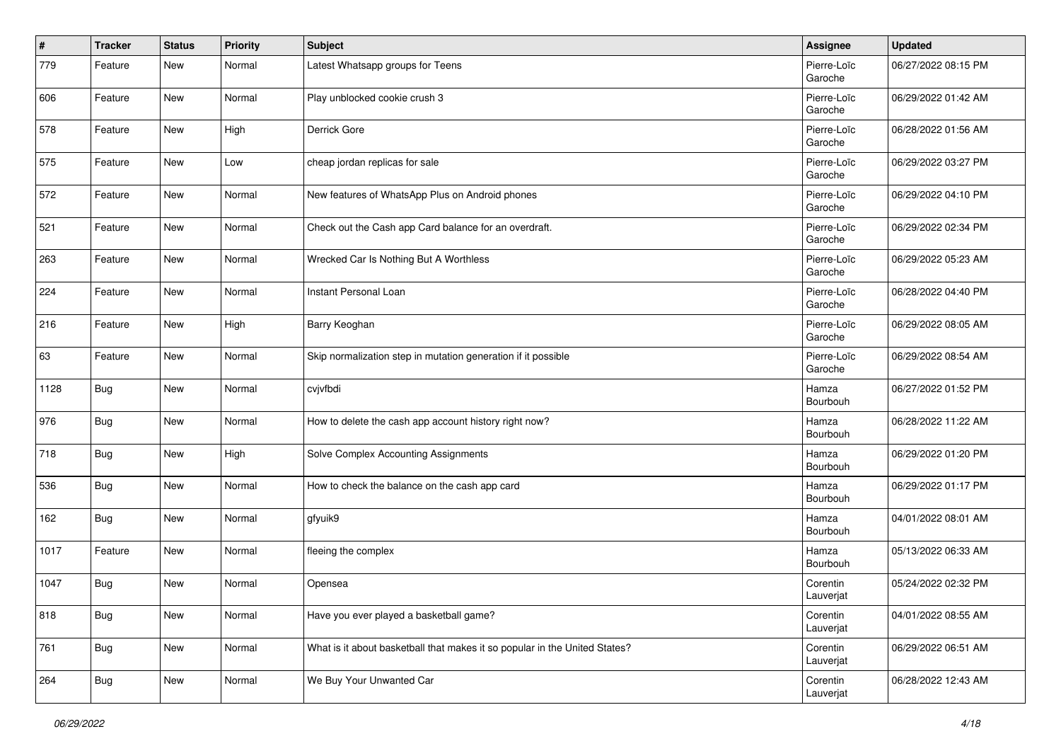| $\vert$ # | <b>Tracker</b> | <b>Status</b> | <b>Priority</b> | <b>Subject</b>                                                             | Assignee               | <b>Updated</b>      |
|-----------|----------------|---------------|-----------------|----------------------------------------------------------------------------|------------------------|---------------------|
| 779       | Feature        | New           | Normal          | Latest Whatsapp groups for Teens                                           | Pierre-Loïc<br>Garoche | 06/27/2022 08:15 PM |
| 606       | Feature        | New           | Normal          | Play unblocked cookie crush 3                                              | Pierre-Loïc<br>Garoche | 06/29/2022 01:42 AM |
| 578       | Feature        | New           | High            | Derrick Gore                                                               | Pierre-Loïc<br>Garoche | 06/28/2022 01:56 AM |
| 575       | Feature        | New           | Low             | cheap jordan replicas for sale                                             | Pierre-Loïc<br>Garoche | 06/29/2022 03:27 PM |
| 572       | Feature        | New           | Normal          | New features of WhatsApp Plus on Android phones                            | Pierre-Loïc<br>Garoche | 06/29/2022 04:10 PM |
| 521       | Feature        | New           | Normal          | Check out the Cash app Card balance for an overdraft.                      | Pierre-Loïc<br>Garoche | 06/29/2022 02:34 PM |
| 263       | Feature        | <b>New</b>    | Normal          | Wrecked Car Is Nothing But A Worthless                                     | Pierre-Loïc<br>Garoche | 06/29/2022 05:23 AM |
| 224       | Feature        | <b>New</b>    | Normal          | Instant Personal Loan                                                      | Pierre-Loïc<br>Garoche | 06/28/2022 04:40 PM |
| 216       | Feature        | New           | High            | Barry Keoghan                                                              | Pierre-Loïc<br>Garoche | 06/29/2022 08:05 AM |
| 63        | Feature        | <b>New</b>    | Normal          | Skip normalization step in mutation generation if it possible              | Pierre-Loïc<br>Garoche | 06/29/2022 08:54 AM |
| 1128      | <b>Bug</b>     | <b>New</b>    | Normal          | cvjvfbdi                                                                   | Hamza<br>Bourbouh      | 06/27/2022 01:52 PM |
| 976       | <b>Bug</b>     | New           | Normal          | How to delete the cash app account history right now?                      | Hamza<br>Bourbouh      | 06/28/2022 11:22 AM |
| 718       | Bug            | New           | High            | Solve Complex Accounting Assignments                                       | Hamza<br>Bourbouh      | 06/29/2022 01:20 PM |
| 536       | <b>Bug</b>     | New           | Normal          | How to check the balance on the cash app card                              | Hamza<br>Bourbouh      | 06/29/2022 01:17 PM |
| 162       | I Bug          | <b>New</b>    | Normal          | gfyuik9                                                                    | Hamza<br>Bourbouh      | 04/01/2022 08:01 AM |
| 1017      | Feature        | <b>New</b>    | Normal          | fleeing the complex                                                        | Hamza<br>Bourbouh      | 05/13/2022 06:33 AM |
| 1047      | <b>Bug</b>     | <b>New</b>    | Normal          | Opensea                                                                    | Corentin<br>Lauverjat  | 05/24/2022 02:32 PM |
| 818       | <b>Bug</b>     | New           | Normal          | Have you ever played a basketball game?                                    | Corentin<br>Lauverjat  | 04/01/2022 08:55 AM |
| 761       | Bug            | New           | Normal          | What is it about basketball that makes it so popular in the United States? | Corentin<br>Lauverjat  | 06/29/2022 06:51 AM |
| 264       | <b>Bug</b>     | New           | Normal          | We Buy Your Unwanted Car                                                   | Corentin<br>Lauverjat  | 06/28/2022 12:43 AM |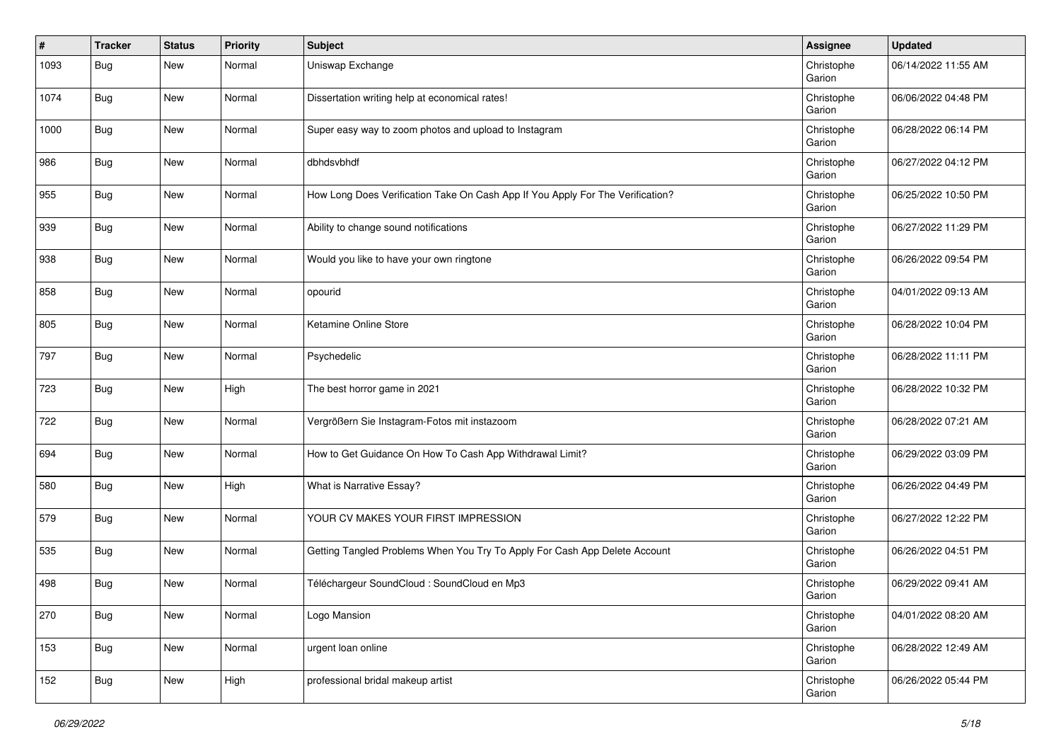| #    | <b>Tracker</b> | <b>Status</b> | <b>Priority</b> | <b>Subject</b>                                                                 | Assignee             | <b>Updated</b>      |
|------|----------------|---------------|-----------------|--------------------------------------------------------------------------------|----------------------|---------------------|
| 1093 | Bug            | New           | Normal          | Uniswap Exchange                                                               | Christophe<br>Garion | 06/14/2022 11:55 AM |
| 1074 | Bug            | New           | Normal          | Dissertation writing help at economical rates!                                 | Christophe<br>Garion | 06/06/2022 04:48 PM |
| 1000 | <b>Bug</b>     | New           | Normal          | Super easy way to zoom photos and upload to Instagram                          | Christophe<br>Garion | 06/28/2022 06:14 PM |
| 986  | Bug            | New           | Normal          | dbhdsvbhdf                                                                     | Christophe<br>Garion | 06/27/2022 04:12 PM |
| 955  | Bug            | New           | Normal          | How Long Does Verification Take On Cash App If You Apply For The Verification? | Christophe<br>Garion | 06/25/2022 10:50 PM |
| 939  | Bug            | New           | Normal          | Ability to change sound notifications                                          | Christophe<br>Garion | 06/27/2022 11:29 PM |
| 938  | Bug            | New           | Normal          | Would you like to have your own ringtone                                       | Christophe<br>Garion | 06/26/2022 09:54 PM |
| 858  | Bug            | New           | Normal          | opourid                                                                        | Christophe<br>Garion | 04/01/2022 09:13 AM |
| 805  | <b>Bug</b>     | New           | Normal          | Ketamine Online Store                                                          | Christophe<br>Garion | 06/28/2022 10:04 PM |
| 797  | <b>Bug</b>     | New           | Normal          | Psychedelic                                                                    | Christophe<br>Garion | 06/28/2022 11:11 PM |
| 723  | Bug            | New           | High            | The best horror game in 2021                                                   | Christophe<br>Garion | 06/28/2022 10:32 PM |
| 722  | Bug            | New           | Normal          | Vergrößern Sie Instagram-Fotos mit instazoom                                   | Christophe<br>Garion | 06/28/2022 07:21 AM |
| 694  | Bug            | New           | Normal          | How to Get Guidance On How To Cash App Withdrawal Limit?                       | Christophe<br>Garion | 06/29/2022 03:09 PM |
| 580  | <b>Bug</b>     | New           | High            | What is Narrative Essay?                                                       | Christophe<br>Garion | 06/26/2022 04:49 PM |
| 579  | Bug            | New           | Normal          | YOUR CV MAKES YOUR FIRST IMPRESSION                                            | Christophe<br>Garion | 06/27/2022 12:22 PM |
| 535  | <b>Bug</b>     | New           | Normal          | Getting Tangled Problems When You Try To Apply For Cash App Delete Account     | Christophe<br>Garion | 06/26/2022 04:51 PM |
| 498  | <b>Bug</b>     | New           | Normal          | Téléchargeur SoundCloud : SoundCloud en Mp3                                    | Christophe<br>Garion | 06/29/2022 09:41 AM |
| 270  | <b>Bug</b>     | New           | Normal          | Logo Mansion                                                                   | Christophe<br>Garion | 04/01/2022 08:20 AM |
| 153  | Bug            | New           | Normal          | urgent loan online                                                             | Christophe<br>Garion | 06/28/2022 12:49 AM |
| 152  | Bug            | New           | High            | professional bridal makeup artist                                              | Christophe<br>Garion | 06/26/2022 05:44 PM |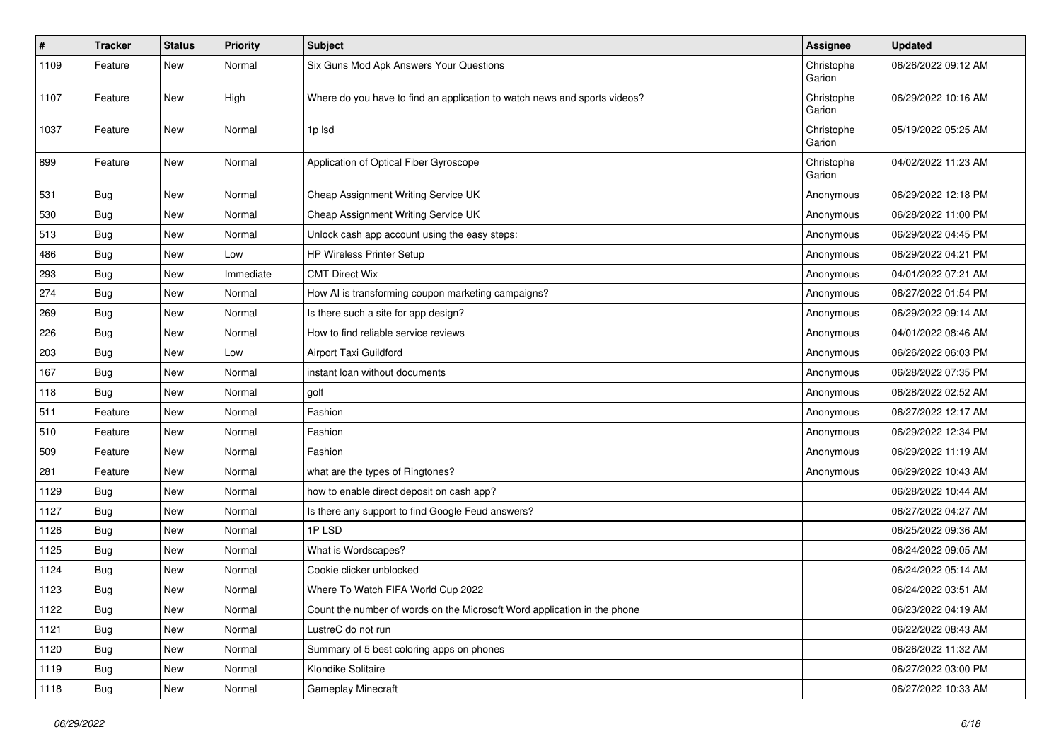| #    | <b>Tracker</b> | <b>Status</b> | Priority  | <b>Subject</b>                                                            | <b>Assignee</b>      | <b>Updated</b>      |
|------|----------------|---------------|-----------|---------------------------------------------------------------------------|----------------------|---------------------|
| 1109 | Feature        | New           | Normal    | Six Guns Mod Apk Answers Your Questions                                   | Christophe<br>Garion | 06/26/2022 09:12 AM |
| 1107 | Feature        | New           | High      | Where do you have to find an application to watch news and sports videos? | Christophe<br>Garion | 06/29/2022 10:16 AM |
| 1037 | Feature        | New           | Normal    | 1p lsd                                                                    | Christophe<br>Garion | 05/19/2022 05:25 AM |
| 899  | Feature        | New           | Normal    | Application of Optical Fiber Gyroscope                                    | Christophe<br>Garion | 04/02/2022 11:23 AM |
| 531  | Bug            | New           | Normal    | Cheap Assignment Writing Service UK                                       | Anonymous            | 06/29/2022 12:18 PM |
| 530  | Bug            | New           | Normal    | Cheap Assignment Writing Service UK                                       | Anonymous            | 06/28/2022 11:00 PM |
| 513  | <b>Bug</b>     | New           | Normal    | Unlock cash app account using the easy steps:                             | Anonymous            | 06/29/2022 04:45 PM |
| 486  | Bug            | New           | Low       | HP Wireless Printer Setup                                                 | Anonymous            | 06/29/2022 04:21 PM |
| 293  | Bug            | New           | Immediate | <b>CMT Direct Wix</b>                                                     | Anonymous            | 04/01/2022 07:21 AM |
| 274  | <b>Bug</b>     | New           | Normal    | How AI is transforming coupon marketing campaigns?                        | Anonymous            | 06/27/2022 01:54 PM |
| 269  | <b>Bug</b>     | New           | Normal    | Is there such a site for app design?                                      | Anonymous            | 06/29/2022 09:14 AM |
| 226  | Bug            | New           | Normal    | How to find reliable service reviews                                      | Anonymous            | 04/01/2022 08:46 AM |
| 203  | Bug            | New           | Low       | Airport Taxi Guildford                                                    | Anonymous            | 06/26/2022 06:03 PM |
| 167  | Bug            | New           | Normal    | instant loan without documents                                            | Anonymous            | 06/28/2022 07:35 PM |
| 118  | <b>Bug</b>     | New           | Normal    | golf                                                                      | Anonymous            | 06/28/2022 02:52 AM |
| 511  | Feature        | New           | Normal    | Fashion                                                                   | Anonymous            | 06/27/2022 12:17 AM |
| 510  | Feature        | New           | Normal    | Fashion                                                                   | Anonymous            | 06/29/2022 12:34 PM |
| 509  | Feature        | New           | Normal    | Fashion                                                                   | Anonymous            | 06/29/2022 11:19 AM |
| 281  | Feature        | New           | Normal    | what are the types of Ringtones?                                          | Anonymous            | 06/29/2022 10:43 AM |
| 1129 | <b>Bug</b>     | New           | Normal    | how to enable direct deposit on cash app?                                 |                      | 06/28/2022 10:44 AM |
| 1127 | <b>Bug</b>     | New           | Normal    | Is there any support to find Google Feud answers?                         |                      | 06/27/2022 04:27 AM |
| 1126 | Bug            | New           | Normal    | 1PLSD                                                                     |                      | 06/25/2022 09:36 AM |
| 1125 | <b>Bug</b>     | New           | Normal    | What is Wordscapes?                                                       |                      | 06/24/2022 09:05 AM |
| 1124 | Bug            | New           | Normal    | Cookie clicker unblocked                                                  |                      | 06/24/2022 05:14 AM |
| 1123 | <b>Bug</b>     | New           | Normal    | Where To Watch FIFA World Cup 2022                                        |                      | 06/24/2022 03:51 AM |
| 1122 | <b>Bug</b>     | New           | Normal    | Count the number of words on the Microsoft Word application in the phone  |                      | 06/23/2022 04:19 AM |
| 1121 | <b>Bug</b>     | New           | Normal    | LustreC do not run                                                        |                      | 06/22/2022 08:43 AM |
| 1120 | Bug            | New           | Normal    | Summary of 5 best coloring apps on phones                                 |                      | 06/26/2022 11:32 AM |
| 1119 | Bug            | New           | Normal    | Klondike Solitaire                                                        |                      | 06/27/2022 03:00 PM |
| 1118 | <b>Bug</b>     | New           | Normal    | Gameplay Minecraft                                                        |                      | 06/27/2022 10:33 AM |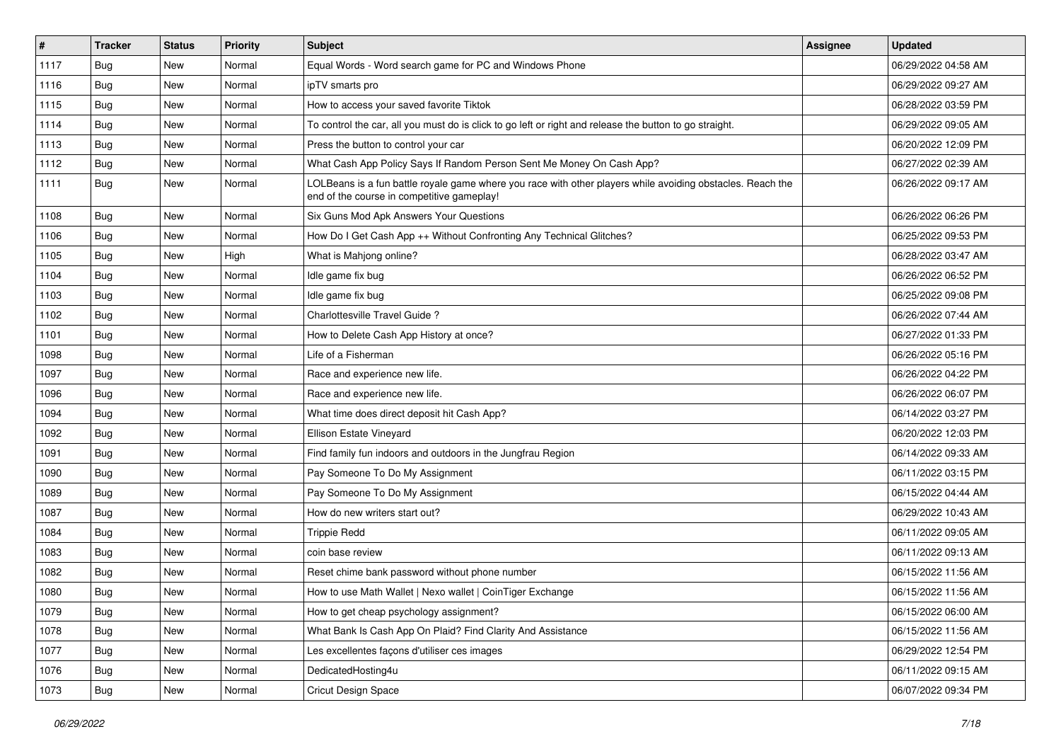| $\vert$ # | <b>Tracker</b> | <b>Status</b> | <b>Priority</b> | Subject                                                                                                                                                  | Assignee | <b>Updated</b>      |
|-----------|----------------|---------------|-----------------|----------------------------------------------------------------------------------------------------------------------------------------------------------|----------|---------------------|
| 1117      | <b>Bug</b>     | New           | Normal          | Equal Words - Word search game for PC and Windows Phone                                                                                                  |          | 06/29/2022 04:58 AM |
| 1116      | Bug            | New           | Normal          | ipTV smarts pro                                                                                                                                          |          | 06/29/2022 09:27 AM |
| 1115      | Bug            | New           | Normal          | How to access your saved favorite Tiktok                                                                                                                 |          | 06/28/2022 03:59 PM |
| 1114      | Bug            | New           | Normal          | To control the car, all you must do is click to go left or right and release the button to go straight.                                                  |          | 06/29/2022 09:05 AM |
| 1113      | Bug            | <b>New</b>    | Normal          | Press the button to control your car                                                                                                                     |          | 06/20/2022 12:09 PM |
| 1112      | Bug            | New           | Normal          | What Cash App Policy Says If Random Person Sent Me Money On Cash App?                                                                                    |          | 06/27/2022 02:39 AM |
| 1111      | Bug            | New           | Normal          | LOLBeans is a fun battle royale game where you race with other players while avoiding obstacles. Reach the<br>end of the course in competitive gameplay! |          | 06/26/2022 09:17 AM |
| 1108      | Bug            | <b>New</b>    | Normal          | Six Guns Mod Apk Answers Your Questions                                                                                                                  |          | 06/26/2022 06:26 PM |
| 1106      | Bug            | <b>New</b>    | Normal          | How Do I Get Cash App ++ Without Confronting Any Technical Glitches?                                                                                     |          | 06/25/2022 09:53 PM |
| 1105      | Bug            | New           | High            | What is Mahjong online?                                                                                                                                  |          | 06/28/2022 03:47 AM |
| 1104      | Bug            | New           | Normal          | Idle game fix bug                                                                                                                                        |          | 06/26/2022 06:52 PM |
| 1103      | Bug            | <b>New</b>    | Normal          | Idle game fix bug                                                                                                                                        |          | 06/25/2022 09:08 PM |
| 1102      | Bug            | New           | Normal          | Charlottesville Travel Guide ?                                                                                                                           |          | 06/26/2022 07:44 AM |
| 1101      | Bug            | New           | Normal          | How to Delete Cash App History at once?                                                                                                                  |          | 06/27/2022 01:33 PM |
| 1098      | Bug            | New           | Normal          | Life of a Fisherman                                                                                                                                      |          | 06/26/2022 05:16 PM |
| 1097      | Bug            | <b>New</b>    | Normal          | Race and experience new life.                                                                                                                            |          | 06/26/2022 04:22 PM |
| 1096      | Bug            | <b>New</b>    | Normal          | Race and experience new life.                                                                                                                            |          | 06/26/2022 06:07 PM |
| 1094      | Bug            | New           | Normal          | What time does direct deposit hit Cash App?                                                                                                              |          | 06/14/2022 03:27 PM |
| 1092      | Bug            | New           | Normal          | Ellison Estate Vineyard                                                                                                                                  |          | 06/20/2022 12:03 PM |
| 1091      | Bug            | New           | Normal          | Find family fun indoors and outdoors in the Jungfrau Region                                                                                              |          | 06/14/2022 09:33 AM |
| 1090      | Bug            | New           | Normal          | Pay Someone To Do My Assignment                                                                                                                          |          | 06/11/2022 03:15 PM |
| 1089      | Bug            | New           | Normal          | Pay Someone To Do My Assignment                                                                                                                          |          | 06/15/2022 04:44 AM |
| 1087      | Bug            | New           | Normal          | How do new writers start out?                                                                                                                            |          | 06/29/2022 10:43 AM |
| 1084      | Bug            | New           | Normal          | <b>Trippie Redd</b>                                                                                                                                      |          | 06/11/2022 09:05 AM |
| 1083      | Bug            | <b>New</b>    | Normal          | coin base review                                                                                                                                         |          | 06/11/2022 09:13 AM |
| 1082      | Bug            | New           | Normal          | Reset chime bank password without phone number                                                                                                           |          | 06/15/2022 11:56 AM |
| 1080      | <b>Bug</b>     | New           | Normal          | How to use Math Wallet   Nexo wallet   CoinTiger Exchange                                                                                                |          | 06/15/2022 11:56 AM |
| 1079      | Bug            | New           | Normal          | How to get cheap psychology assignment?                                                                                                                  |          | 06/15/2022 06:00 AM |
| 1078      | Bug            | New           | Normal          | What Bank Is Cash App On Plaid? Find Clarity And Assistance                                                                                              |          | 06/15/2022 11:56 AM |
| 1077      | Bug            | New           | Normal          | Les excellentes façons d'utiliser ces images                                                                                                             |          | 06/29/2022 12:54 PM |
| 1076      | Bug            | New           | Normal          | DedicatedHosting4u                                                                                                                                       |          | 06/11/2022 09:15 AM |
| 1073      | <b>Bug</b>     | New           | Normal          | Cricut Design Space                                                                                                                                      |          | 06/07/2022 09:34 PM |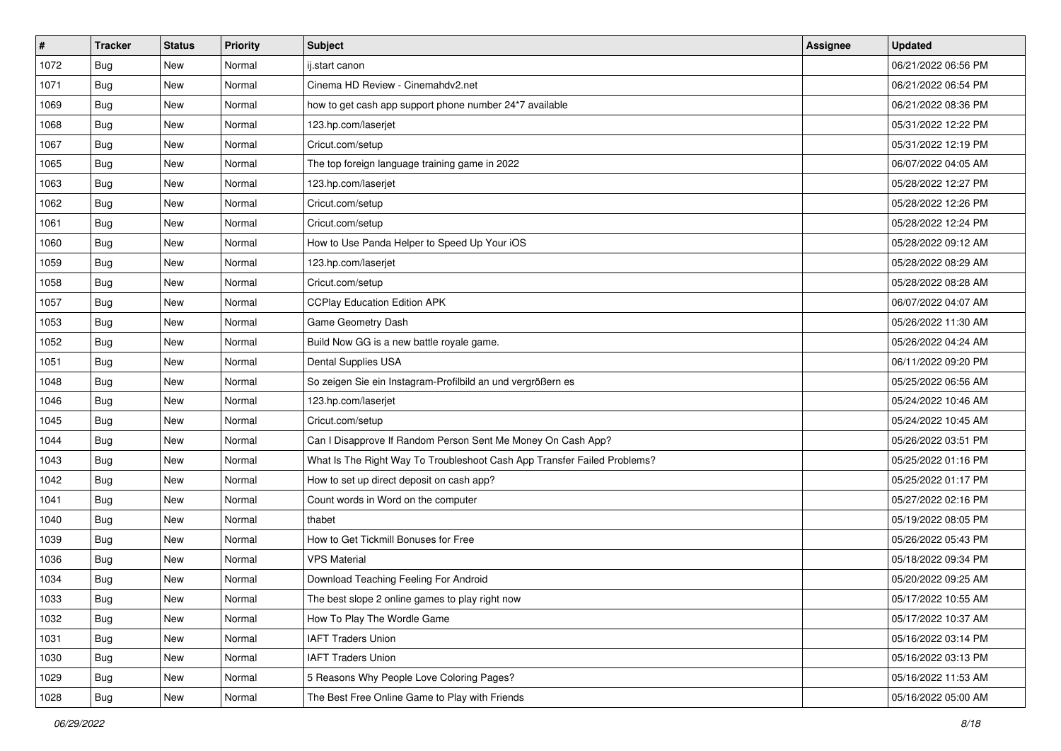| $\vert$ # | <b>Tracker</b> | <b>Status</b> | <b>Priority</b> | <b>Subject</b>                                                           | <b>Assignee</b> | <b>Updated</b>      |
|-----------|----------------|---------------|-----------------|--------------------------------------------------------------------------|-----------------|---------------------|
| 1072      | <b>Bug</b>     | New           | Normal          | ij.start canon                                                           |                 | 06/21/2022 06:56 PM |
| 1071      | <b>Bug</b>     | New           | Normal          | Cinema HD Review - Cinemahdv2.net                                        |                 | 06/21/2022 06:54 PM |
| 1069      | Bug            | New           | Normal          | how to get cash app support phone number 24*7 available                  |                 | 06/21/2022 08:36 PM |
| 1068      | <b>Bug</b>     | New           | Normal          | 123.hp.com/laserjet                                                      |                 | 05/31/2022 12:22 PM |
| 1067      | Bug            | New           | Normal          | Cricut.com/setup                                                         |                 | 05/31/2022 12:19 PM |
| 1065      | <b>Bug</b>     | New           | Normal          | The top foreign language training game in 2022                           |                 | 06/07/2022 04:05 AM |
| 1063      | Bug            | New           | Normal          | 123.hp.com/laserjet                                                      |                 | 05/28/2022 12:27 PM |
| 1062      | <b>Bug</b>     | New           | Normal          | Cricut.com/setup                                                         |                 | 05/28/2022 12:26 PM |
| 1061      | Bug            | New           | Normal          | Cricut.com/setup                                                         |                 | 05/28/2022 12:24 PM |
| 1060      | Bug            | New           | Normal          | How to Use Panda Helper to Speed Up Your iOS                             |                 | 05/28/2022 09:12 AM |
| 1059      | <b>Bug</b>     | New           | Normal          | 123.hp.com/laserjet                                                      |                 | 05/28/2022 08:29 AM |
| 1058      | Bug            | New           | Normal          | Cricut.com/setup                                                         |                 | 05/28/2022 08:28 AM |
| 1057      | Bug            | New           | Normal          | <b>CCPlay Education Edition APK</b>                                      |                 | 06/07/2022 04:07 AM |
| 1053      | <b>Bug</b>     | New           | Normal          | Game Geometry Dash                                                       |                 | 05/26/2022 11:30 AM |
| 1052      | Bug            | New           | Normal          | Build Now GG is a new battle royale game.                                |                 | 05/26/2022 04:24 AM |
| 1051      | Bug            | New           | Normal          | Dental Supplies USA                                                      |                 | 06/11/2022 09:20 PM |
| 1048      | <b>Bug</b>     | New           | Normal          | So zeigen Sie ein Instagram-Profilbild an und vergrößern es              |                 | 05/25/2022 06:56 AM |
| 1046      | Bug            | New           | Normal          | 123.hp.com/laserjet                                                      |                 | 05/24/2022 10:46 AM |
| 1045      | <b>Bug</b>     | New           | Normal          | Cricut.com/setup                                                         |                 | 05/24/2022 10:45 AM |
| 1044      | Bug            | New           | Normal          | Can I Disapprove If Random Person Sent Me Money On Cash App?             |                 | 05/26/2022 03:51 PM |
| 1043      | Bug            | New           | Normal          | What Is The Right Way To Troubleshoot Cash App Transfer Failed Problems? |                 | 05/25/2022 01:16 PM |
| 1042      | <b>Bug</b>     | New           | Normal          | How to set up direct deposit on cash app?                                |                 | 05/25/2022 01:17 PM |
| 1041      | Bug            | New           | Normal          | Count words in Word on the computer                                      |                 | 05/27/2022 02:16 PM |
| 1040      | <b>Bug</b>     | New           | Normal          | thabet                                                                   |                 | 05/19/2022 08:05 PM |
| 1039      | <b>Bug</b>     | New           | Normal          | How to Get Tickmill Bonuses for Free                                     |                 | 05/26/2022 05:43 PM |
| 1036      | Bug            | New           | Normal          | <b>VPS Material</b>                                                      |                 | 05/18/2022 09:34 PM |
| 1034      | <b>Bug</b>     | New           | Normal          | Download Teaching Feeling For Android                                    |                 | 05/20/2022 09:25 AM |
| 1033      | Bug            | New           | Normal          | The best slope 2 online games to play right now                          |                 | 05/17/2022 10:55 AM |
| 1032      | Bug            | New           | Normal          | How To Play The Wordle Game                                              |                 | 05/17/2022 10:37 AM |
| 1031      | Bug            | New           | Normal          | <b>IAFT Traders Union</b>                                                |                 | 05/16/2022 03:14 PM |
| 1030      | Bug            | New           | Normal          | <b>IAFT Traders Union</b>                                                |                 | 05/16/2022 03:13 PM |
| 1029      | Bug            | New           | Normal          | 5 Reasons Why People Love Coloring Pages?                                |                 | 05/16/2022 11:53 AM |
| 1028      | <b>Bug</b>     | New           | Normal          | The Best Free Online Game to Play with Friends                           |                 | 05/16/2022 05:00 AM |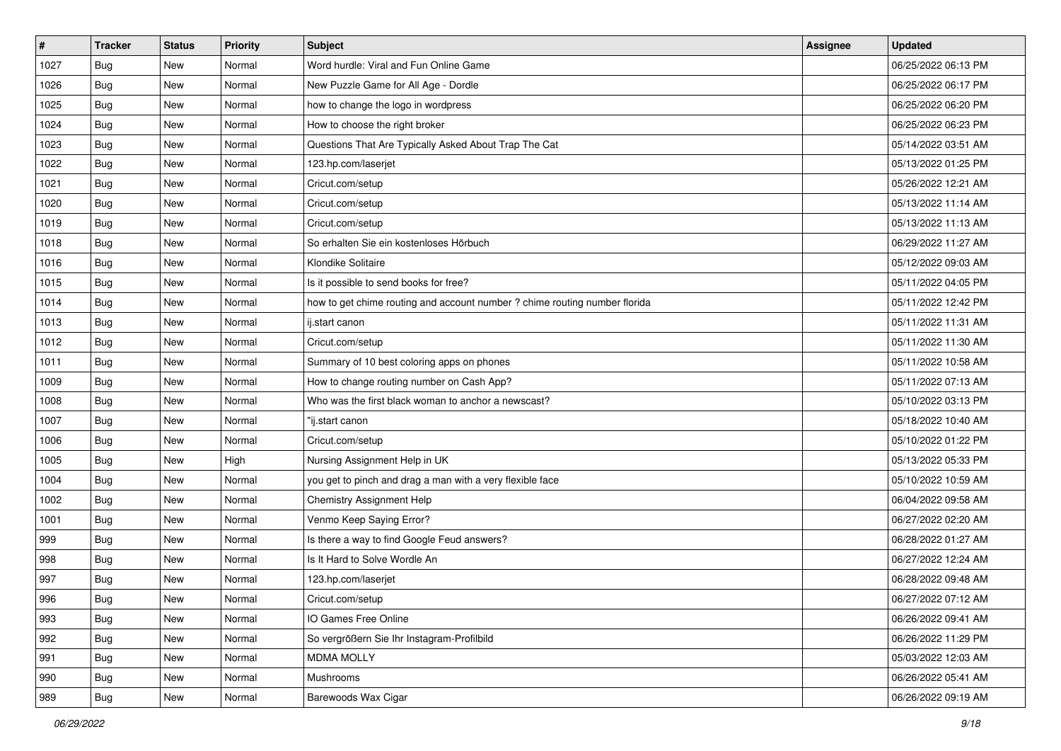| $\vert$ # | <b>Tracker</b> | <b>Status</b> | <b>Priority</b> | <b>Subject</b>                                                             | <b>Assignee</b> | <b>Updated</b>      |
|-----------|----------------|---------------|-----------------|----------------------------------------------------------------------------|-----------------|---------------------|
| 1027      | <b>Bug</b>     | New           | Normal          | Word hurdle: Viral and Fun Online Game                                     |                 | 06/25/2022 06:13 PM |
| 1026      | <b>Bug</b>     | New           | Normal          | New Puzzle Game for All Age - Dordle                                       |                 | 06/25/2022 06:17 PM |
| 1025      | Bug            | New           | Normal          | how to change the logo in wordpress                                        |                 | 06/25/2022 06:20 PM |
| 1024      | <b>Bug</b>     | New           | Normal          | How to choose the right broker                                             |                 | 06/25/2022 06:23 PM |
| 1023      | <b>Bug</b>     | New           | Normal          | Questions That Are Typically Asked About Trap The Cat                      |                 | 05/14/2022 03:51 AM |
| 1022      | <b>Bug</b>     | New           | Normal          | 123.hp.com/laserjet                                                        |                 | 05/13/2022 01:25 PM |
| 1021      | Bug            | New           | Normal          | Cricut.com/setup                                                           |                 | 05/26/2022 12:21 AM |
| 1020      | <b>Bug</b>     | New           | Normal          | Cricut.com/setup                                                           |                 | 05/13/2022 11:14 AM |
| 1019      | <b>Bug</b>     | New           | Normal          | Cricut.com/setup                                                           |                 | 05/13/2022 11:13 AM |
| 1018      | Bug            | New           | Normal          | So erhalten Sie ein kostenloses Hörbuch                                    |                 | 06/29/2022 11:27 AM |
| 1016      | <b>Bug</b>     | New           | Normal          | Klondike Solitaire                                                         |                 | 05/12/2022 09:03 AM |
| 1015      | Bug            | New           | Normal          | Is it possible to send books for free?                                     |                 | 05/11/2022 04:05 PM |
| 1014      | Bug            | New           | Normal          | how to get chime routing and account number ? chime routing number florida |                 | 05/11/2022 12:42 PM |
| 1013      | <b>Bug</b>     | New           | Normal          | ij.start canon                                                             |                 | 05/11/2022 11:31 AM |
| 1012      | <b>Bug</b>     | New           | Normal          | Cricut.com/setup                                                           |                 | 05/11/2022 11:30 AM |
| 1011      | Bug            | New           | Normal          | Summary of 10 best coloring apps on phones                                 |                 | 05/11/2022 10:58 AM |
| 1009      | <b>Bug</b>     | New           | Normal          | How to change routing number on Cash App?                                  |                 | 05/11/2022 07:13 AM |
| 1008      | Bug            | New           | Normal          | Who was the first black woman to anchor a newscast?                        |                 | 05/10/2022 03:13 PM |
| 1007      | <b>Bug</b>     | New           | Normal          | "ij.start canon                                                            |                 | 05/18/2022 10:40 AM |
| 1006      | <b>Bug</b>     | New           | Normal          | Cricut.com/setup                                                           |                 | 05/10/2022 01:22 PM |
| 1005      | Bug            | New           | High            | Nursing Assignment Help in UK                                              |                 | 05/13/2022 05:33 PM |
| 1004      | <b>Bug</b>     | New           | Normal          | you get to pinch and drag a man with a very flexible face                  |                 | 05/10/2022 10:59 AM |
| 1002      | Bug            | New           | Normal          | Chemistry Assignment Help                                                  |                 | 06/04/2022 09:58 AM |
| 1001      | <b>Bug</b>     | New           | Normal          | Venmo Keep Saying Error?                                                   |                 | 06/27/2022 02:20 AM |
| 999       | Bug            | New           | Normal          | Is there a way to find Google Feud answers?                                |                 | 06/28/2022 01:27 AM |
| 998       | Bug            | New           | Normal          | Is It Hard to Solve Wordle An                                              |                 | 06/27/2022 12:24 AM |
| 997       | <b>Bug</b>     | New           | Normal          | 123.hp.com/laserjet                                                        |                 | 06/28/2022 09:48 AM |
| 996       | <b>Bug</b>     | New           | Normal          | Cricut.com/setup                                                           |                 | 06/27/2022 07:12 AM |
| 993       | Bug            | New           | Normal          | IO Games Free Online                                                       |                 | 06/26/2022 09:41 AM |
| 992       | Bug            | New           | Normal          | So vergrößern Sie Ihr Instagram-Profilbild                                 |                 | 06/26/2022 11:29 PM |
| 991       | Bug            | New           | Normal          | <b>MDMA MOLLY</b>                                                          |                 | 05/03/2022 12:03 AM |
| 990       | Bug            | New           | Normal          | Mushrooms                                                                  |                 | 06/26/2022 05:41 AM |
| 989       | <b>Bug</b>     | New           | Normal          | Barewoods Wax Cigar                                                        |                 | 06/26/2022 09:19 AM |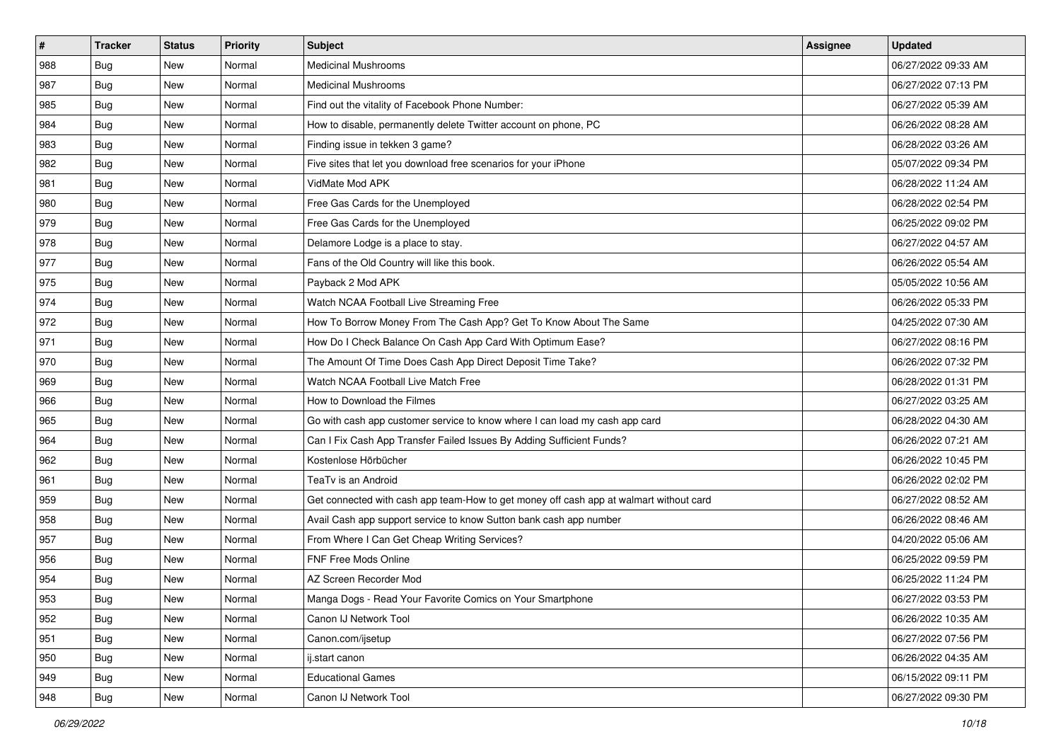| #   | <b>Tracker</b> | <b>Status</b> | Priority | Subject                                                                                | Assignee | <b>Updated</b>      |
|-----|----------------|---------------|----------|----------------------------------------------------------------------------------------|----------|---------------------|
| 988 | <b>Bug</b>     | New           | Normal   | <b>Medicinal Mushrooms</b>                                                             |          | 06/27/2022 09:33 AM |
| 987 | <b>Bug</b>     | New           | Normal   | <b>Medicinal Mushrooms</b>                                                             |          | 06/27/2022 07:13 PM |
| 985 | Bug            | New           | Normal   | Find out the vitality of Facebook Phone Number:                                        |          | 06/27/2022 05:39 AM |
| 984 | <b>Bug</b>     | New           | Normal   | How to disable, permanently delete Twitter account on phone, PC                        |          | 06/26/2022 08:28 AM |
| 983 | Bug            | New           | Normal   | Finding issue in tekken 3 game?                                                        |          | 06/28/2022 03:26 AM |
| 982 | <b>Bug</b>     | New           | Normal   | Five sites that let you download free scenarios for your iPhone                        |          | 05/07/2022 09:34 PM |
| 981 | Bug            | New           | Normal   | VidMate Mod APK                                                                        |          | 06/28/2022 11:24 AM |
| 980 | <b>Bug</b>     | New           | Normal   | Free Gas Cards for the Unemployed                                                      |          | 06/28/2022 02:54 PM |
| 979 | <b>Bug</b>     | New           | Normal   | Free Gas Cards for the Unemployed                                                      |          | 06/25/2022 09:02 PM |
| 978 | Bug            | New           | Normal   | Delamore Lodge is a place to stay.                                                     |          | 06/27/2022 04:57 AM |
| 977 | <b>Bug</b>     | New           | Normal   | Fans of the Old Country will like this book.                                           |          | 06/26/2022 05:54 AM |
| 975 | Bug            | New           | Normal   | Payback 2 Mod APK                                                                      |          | 05/05/2022 10:56 AM |
| 974 | Bug            | New           | Normal   | Watch NCAA Football Live Streaming Free                                                |          | 06/26/2022 05:33 PM |
| 972 | <b>Bug</b>     | New           | Normal   | How To Borrow Money From The Cash App? Get To Know About The Same                      |          | 04/25/2022 07:30 AM |
| 971 | <b>Bug</b>     | New           | Normal   | How Do I Check Balance On Cash App Card With Optimum Ease?                             |          | 06/27/2022 08:16 PM |
| 970 | Bug            | New           | Normal   | The Amount Of Time Does Cash App Direct Deposit Time Take?                             |          | 06/26/2022 07:32 PM |
| 969 | <b>Bug</b>     | New           | Normal   | Watch NCAA Football Live Match Free                                                    |          | 06/28/2022 01:31 PM |
| 966 | Bug            | New           | Normal   | How to Download the Filmes                                                             |          | 06/27/2022 03:25 AM |
| 965 | <b>Bug</b>     | New           | Normal   | Go with cash app customer service to know where I can load my cash app card            |          | 06/28/2022 04:30 AM |
| 964 | <b>Bug</b>     | New           | Normal   | Can I Fix Cash App Transfer Failed Issues By Adding Sufficient Funds?                  |          | 06/26/2022 07:21 AM |
| 962 | <b>Bug</b>     | New           | Normal   | Kostenlose Hörbücher                                                                   |          | 06/26/2022 10:45 PM |
| 961 | Bug            | New           | Normal   | TeaTv is an Android                                                                    |          | 06/26/2022 02:02 PM |
| 959 | Bug            | New           | Normal   | Get connected with cash app team-How to get money off cash app at walmart without card |          | 06/27/2022 08:52 AM |
| 958 | <b>Bug</b>     | New           | Normal   | Avail Cash app support service to know Sutton bank cash app number                     |          | 06/26/2022 08:46 AM |
| 957 | Bug            | New           | Normal   | From Where I Can Get Cheap Writing Services?                                           |          | 04/20/2022 05:06 AM |
| 956 | Bug            | New           | Normal   | FNF Free Mods Online                                                                   |          | 06/25/2022 09:59 PM |
| 954 | <b>Bug</b>     | New           | Normal   | AZ Screen Recorder Mod                                                                 |          | 06/25/2022 11:24 PM |
| 953 | I Bug          | New           | Normal   | Manga Dogs - Read Your Favorite Comics on Your Smartphone                              |          | 06/27/2022 03:53 PM |
| 952 | Bug            | New           | Normal   | Canon IJ Network Tool                                                                  |          | 06/26/2022 10:35 AM |
| 951 | <b>Bug</b>     | New           | Normal   | Canon.com/ijsetup                                                                      |          | 06/27/2022 07:56 PM |
| 950 | Bug            | New           | Normal   | ij.start canon                                                                         |          | 06/26/2022 04:35 AM |
| 949 | Bug            | New           | Normal   | <b>Educational Games</b>                                                               |          | 06/15/2022 09:11 PM |
| 948 | <b>Bug</b>     | New           | Normal   | Canon IJ Network Tool                                                                  |          | 06/27/2022 09:30 PM |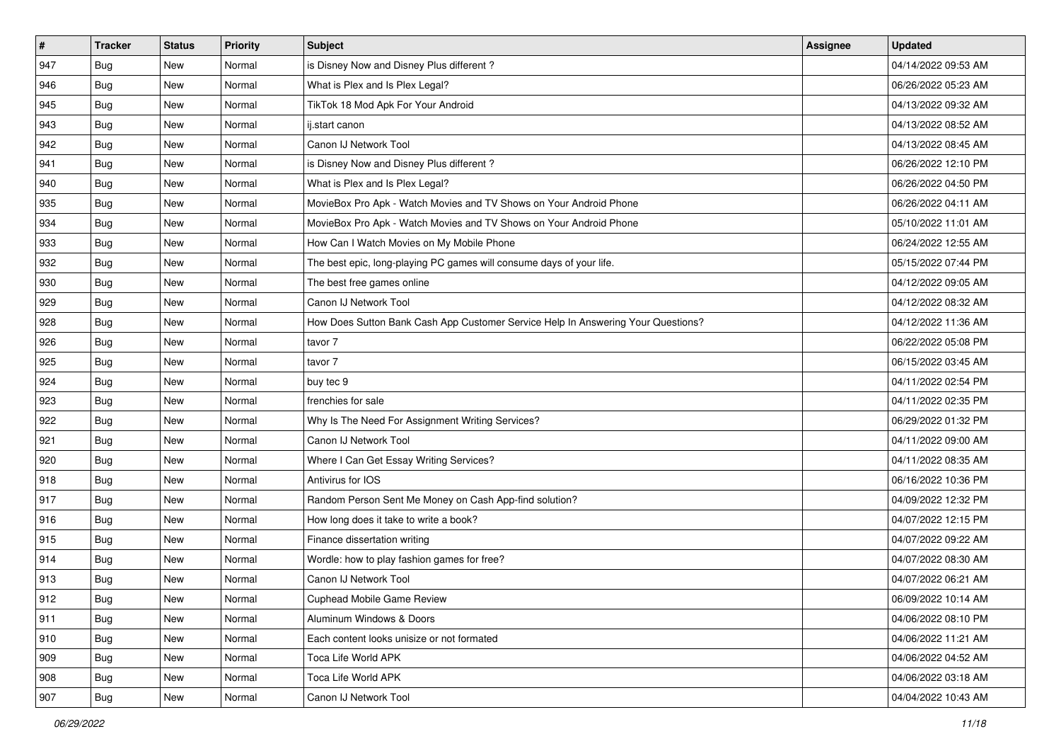| #             | <b>Tracker</b> | <b>Status</b> | Priority | <b>Subject</b>                                                                   | Assignee | <b>Updated</b>      |
|---------------|----------------|---------------|----------|----------------------------------------------------------------------------------|----------|---------------------|
| 947           | <b>Bug</b>     | New           | Normal   | is Disney Now and Disney Plus different?                                         |          | 04/14/2022 09:53 AM |
| 946           | <b>Bug</b>     | New           | Normal   | What is Plex and Is Plex Legal?                                                  |          | 06/26/2022 05:23 AM |
| 945           | Bug            | New           | Normal   | TikTok 18 Mod Apk For Your Android                                               |          | 04/13/2022 09:32 AM |
| 943           | <b>Bug</b>     | New           | Normal   | ij.start canon                                                                   |          | 04/13/2022 08:52 AM |
| 942           | Bug            | New           | Normal   | Canon IJ Network Tool                                                            |          | 04/13/2022 08:45 AM |
| 941           | <b>Bug</b>     | New           | Normal   | is Disney Now and Disney Plus different?                                         |          | 06/26/2022 12:10 PM |
| 940           | Bug            | New           | Normal   | What is Plex and Is Plex Legal?                                                  |          | 06/26/2022 04:50 PM |
| 935           | <b>Bug</b>     | New           | Normal   | MovieBox Pro Apk - Watch Movies and TV Shows on Your Android Phone               |          | 06/26/2022 04:11 AM |
| 934           | <b>Bug</b>     | New           | Normal   | MovieBox Pro Apk - Watch Movies and TV Shows on Your Android Phone               |          | 05/10/2022 11:01 AM |
| 933           | Bug            | New           | Normal   | How Can I Watch Movies on My Mobile Phone                                        |          | 06/24/2022 12:55 AM |
| 932           | <b>Bug</b>     | New           | Normal   | The best epic, long-playing PC games will consume days of your life.             |          | 05/15/2022 07:44 PM |
| 930           | Bug            | New           | Normal   | The best free games online                                                       |          | 04/12/2022 09:05 AM |
| 929           | Bug            | New           | Normal   | Canon IJ Network Tool                                                            |          | 04/12/2022 08:32 AM |
| 928           | <b>Bug</b>     | New           | Normal   | How Does Sutton Bank Cash App Customer Service Help In Answering Your Questions? |          | 04/12/2022 11:36 AM |
| 926           | <b>Bug</b>     | New           | Normal   | tavor 7                                                                          |          | 06/22/2022 05:08 PM |
| 925           | Bug            | New           | Normal   | tavor 7                                                                          |          | 06/15/2022 03:45 AM |
| 924           | <b>Bug</b>     | New           | Normal   | buy tec 9                                                                        |          | 04/11/2022 02:54 PM |
| 923           | Bug            | New           | Normal   | frenchies for sale                                                               |          | 04/11/2022 02:35 PM |
| 922           | <b>Bug</b>     | New           | Normal   | Why Is The Need For Assignment Writing Services?                                 |          | 06/29/2022 01:32 PM |
| 921           | <b>Bug</b>     | New           | Normal   | Canon IJ Network Tool                                                            |          | 04/11/2022 09:00 AM |
| 920           | <b>Bug</b>     | New           | Normal   | Where I Can Get Essay Writing Services?                                          |          | 04/11/2022 08:35 AM |
| 918           | <b>Bug</b>     | New           | Normal   | Antivirus for IOS                                                                |          | 06/16/2022 10:36 PM |
| 917           | Bug            | New           | Normal   | Random Person Sent Me Money on Cash App-find solution?                           |          | 04/09/2022 12:32 PM |
| 916           | <b>Bug</b>     | New           | Normal   | How long does it take to write a book?                                           |          | 04/07/2022 12:15 PM |
| 915           | Bug            | New           | Normal   | Finance dissertation writing                                                     |          | 04/07/2022 09:22 AM |
| 914           | Bug            | New           | Normal   | Wordle: how to play fashion games for free?                                      |          | 04/07/2022 08:30 AM |
| 913           | <b>Bug</b>     | New           | Normal   | Canon IJ Network Tool                                                            |          | 04/07/2022 06:21 AM |
| 912           | Bug            | New           | Normal   | Cuphead Mobile Game Review                                                       |          | 06/09/2022 10:14 AM |
| 911           | Bug            | New           | Normal   | Aluminum Windows & Doors                                                         |          | 04/06/2022 08:10 PM |
| 910           | <b>Bug</b>     | New           | Normal   | Each content looks unisize or not formated                                       |          | 04/06/2022 11:21 AM |
| $ 909\rangle$ | Bug            | New           | Normal   | Toca Life World APK                                                              |          | 04/06/2022 04:52 AM |
| 908           | Bug            | New           | Normal   | Toca Life World APK                                                              |          | 04/06/2022 03:18 AM |
| 907           | <b>Bug</b>     | New           | Normal   | Canon IJ Network Tool                                                            |          | 04/04/2022 10:43 AM |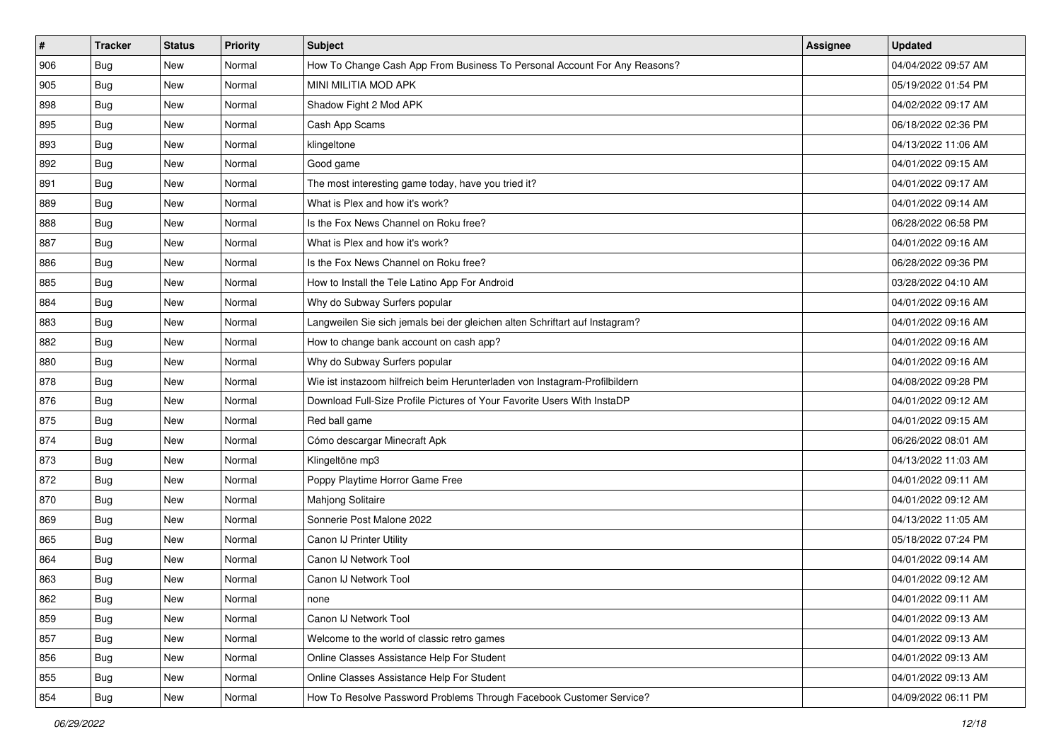| #   | <b>Tracker</b> | <b>Status</b> | <b>Priority</b> | <b>Subject</b>                                                              | Assignee | <b>Updated</b>      |
|-----|----------------|---------------|-----------------|-----------------------------------------------------------------------------|----------|---------------------|
| 906 | <b>Bug</b>     | New           | Normal          | How To Change Cash App From Business To Personal Account For Any Reasons?   |          | 04/04/2022 09:57 AM |
| 905 | Bug            | New           | Normal          | MINI MILITIA MOD APK                                                        |          | 05/19/2022 01:54 PM |
| 898 | Bug            | New           | Normal          | Shadow Fight 2 Mod APK                                                      |          | 04/02/2022 09:17 AM |
| 895 | Bug            | New           | Normal          | Cash App Scams                                                              |          | 06/18/2022 02:36 PM |
| 893 | Bug            | New           | Normal          | klingeltone                                                                 |          | 04/13/2022 11:06 AM |
| 892 | Bug            | New           | Normal          | Good game                                                                   |          | 04/01/2022 09:15 AM |
| 891 | <b>Bug</b>     | New           | Normal          | The most interesting game today, have you tried it?                         |          | 04/01/2022 09:17 AM |
| 889 | Bug            | New           | Normal          | What is Plex and how it's work?                                             |          | 04/01/2022 09:14 AM |
| 888 | <b>Bug</b>     | New           | Normal          | Is the Fox News Channel on Roku free?                                       |          | 06/28/2022 06:58 PM |
| 887 | <b>Bug</b>     | New           | Normal          | What is Plex and how it's work?                                             |          | 04/01/2022 09:16 AM |
| 886 | <b>Bug</b>     | New           | Normal          | Is the Fox News Channel on Roku free?                                       |          | 06/28/2022 09:36 PM |
| 885 | <b>Bug</b>     | New           | Normal          | How to Install the Tele Latino App For Android                              |          | 03/28/2022 04:10 AM |
| 884 | Bug            | New           | Normal          | Why do Subway Surfers popular                                               |          | 04/01/2022 09:16 AM |
| 883 | <b>Bug</b>     | New           | Normal          | Langweilen Sie sich jemals bei der gleichen alten Schriftart auf Instagram? |          | 04/01/2022 09:16 AM |
| 882 | <b>Bug</b>     | New           | Normal          | How to change bank account on cash app?                                     |          | 04/01/2022 09:16 AM |
| 880 | Bug            | New           | Normal          | Why do Subway Surfers popular                                               |          | 04/01/2022 09:16 AM |
| 878 | Bug            | New           | Normal          | Wie ist instazoom hilfreich beim Herunterladen von Instagram-Profilbildern  |          | 04/08/2022 09:28 PM |
| 876 | Bug            | New           | Normal          | Download Full-Size Profile Pictures of Your Favorite Users With InstaDP     |          | 04/01/2022 09:12 AM |
| 875 | <b>Bug</b>     | New           | Normal          | Red ball game                                                               |          | 04/01/2022 09:15 AM |
| 874 | <b>Bug</b>     | New           | Normal          | Cómo descargar Minecraft Apk                                                |          | 06/26/2022 08:01 AM |
| 873 | <b>Bug</b>     | New           | Normal          | Klingeltöne mp3                                                             |          | 04/13/2022 11:03 AM |
| 872 | <b>Bug</b>     | New           | Normal          | Poppy Playtime Horror Game Free                                             |          | 04/01/2022 09:11 AM |
| 870 | Bug            | New           | Normal          | Mahjong Solitaire                                                           |          | 04/01/2022 09:12 AM |
| 869 | Bug            | New           | Normal          | Sonnerie Post Malone 2022                                                   |          | 04/13/2022 11:05 AM |
| 865 | <b>Bug</b>     | New           | Normal          | Canon IJ Printer Utility                                                    |          | 05/18/2022 07:24 PM |
| 864 | Bug            | New           | Normal          | Canon IJ Network Tool                                                       |          | 04/01/2022 09:14 AM |
| 863 | <b>Bug</b>     | New           | Normal          | Canon IJ Network Tool                                                       |          | 04/01/2022 09:12 AM |
| 862 | Bug            | New           | Normal          | none                                                                        |          | 04/01/2022 09:11 AM |
| 859 | Bug            | New           | Normal          | Canon IJ Network Tool                                                       |          | 04/01/2022 09:13 AM |
| 857 | Bug            | New           | Normal          | Welcome to the world of classic retro games                                 |          | 04/01/2022 09:13 AM |
| 856 | Bug            | New           | Normal          | Online Classes Assistance Help For Student                                  |          | 04/01/2022 09:13 AM |
| 855 | <b>Bug</b>     | New           | Normal          | Online Classes Assistance Help For Student                                  |          | 04/01/2022 09:13 AM |
| 854 | Bug            | New           | Normal          | How To Resolve Password Problems Through Facebook Customer Service?         |          | 04/09/2022 06:11 PM |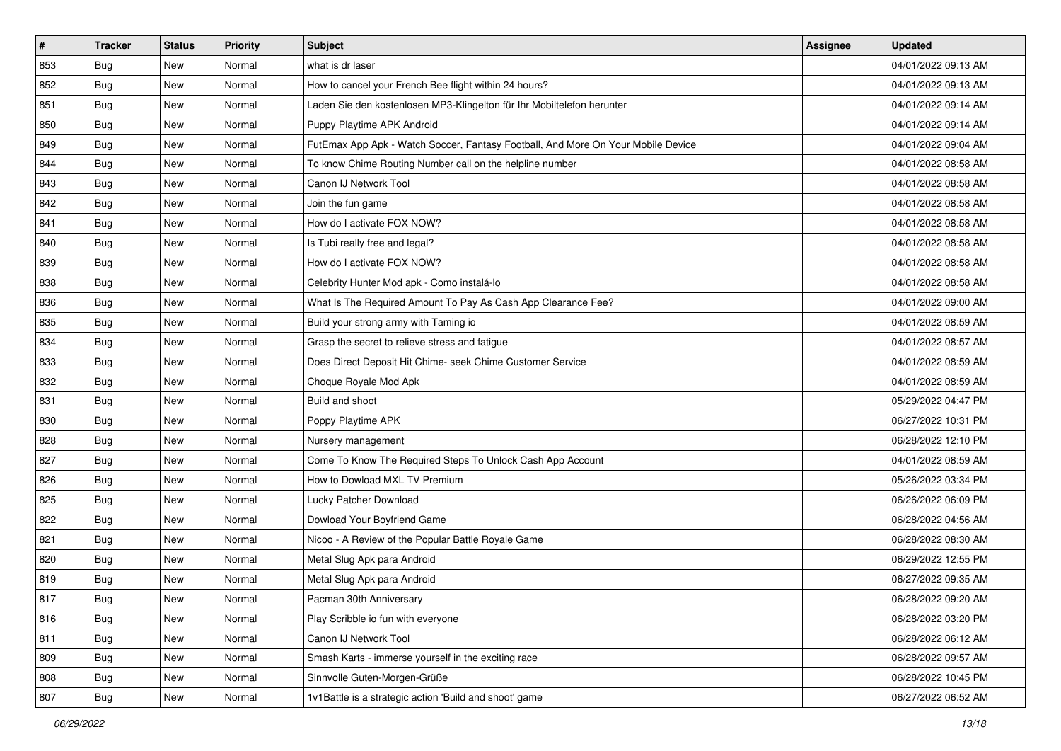| #   | <b>Tracker</b> | <b>Status</b> | Priority | Subject                                                                          | Assignee | <b>Updated</b>      |
|-----|----------------|---------------|----------|----------------------------------------------------------------------------------|----------|---------------------|
| 853 | <b>Bug</b>     | New           | Normal   | what is dr laser                                                                 |          | 04/01/2022 09:13 AM |
| 852 | <b>Bug</b>     | New           | Normal   | How to cancel your French Bee flight within 24 hours?                            |          | 04/01/2022 09:13 AM |
| 851 | Bug            | New           | Normal   | Laden Sie den kostenlosen MP3-Klingelton für Ihr Mobiltelefon herunter           |          | 04/01/2022 09:14 AM |
| 850 | <b>Bug</b>     | New           | Normal   | Puppy Playtime APK Android                                                       |          | 04/01/2022 09:14 AM |
| 849 | Bug            | New           | Normal   | FutEmax App Apk - Watch Soccer, Fantasy Football, And More On Your Mobile Device |          | 04/01/2022 09:04 AM |
| 844 | <b>Bug</b>     | New           | Normal   | To know Chime Routing Number call on the helpline number                         |          | 04/01/2022 08:58 AM |
| 843 | Bug            | New           | Normal   | Canon IJ Network Tool                                                            |          | 04/01/2022 08:58 AM |
| 842 | <b>Bug</b>     | New           | Normal   | Join the fun game                                                                |          | 04/01/2022 08:58 AM |
| 841 | <b>Bug</b>     | New           | Normal   | How do I activate FOX NOW?                                                       |          | 04/01/2022 08:58 AM |
| 840 | Bug            | New           | Normal   | Is Tubi really free and legal?                                                   |          | 04/01/2022 08:58 AM |
| 839 | <b>Bug</b>     | New           | Normal   | How do I activate FOX NOW?                                                       |          | 04/01/2022 08:58 AM |
| 838 | Bug            | New           | Normal   | Celebrity Hunter Mod apk - Como instalá-lo                                       |          | 04/01/2022 08:58 AM |
| 836 | Bug            | New           | Normal   | What Is The Required Amount To Pay As Cash App Clearance Fee?                    |          | 04/01/2022 09:00 AM |
| 835 | <b>Bug</b>     | New           | Normal   | Build your strong army with Taming io                                            |          | 04/01/2022 08:59 AM |
| 834 | <b>Bug</b>     | New           | Normal   | Grasp the secret to relieve stress and fatigue                                   |          | 04/01/2022 08:57 AM |
| 833 | Bug            | New           | Normal   | Does Direct Deposit Hit Chime- seek Chime Customer Service                       |          | 04/01/2022 08:59 AM |
| 832 | <b>Bug</b>     | New           | Normal   | Choque Royale Mod Apk                                                            |          | 04/01/2022 08:59 AM |
| 831 | Bug            | New           | Normal   | Build and shoot                                                                  |          | 05/29/2022 04:47 PM |
| 830 | <b>Bug</b>     | New           | Normal   | Poppy Playtime APK                                                               |          | 06/27/2022 10:31 PM |
| 828 | <b>Bug</b>     | New           | Normal   | Nursery management                                                               |          | 06/28/2022 12:10 PM |
| 827 | <b>Bug</b>     | New           | Normal   | Come To Know The Required Steps To Unlock Cash App Account                       |          | 04/01/2022 08:59 AM |
| 826 | <b>Bug</b>     | New           | Normal   | How to Dowload MXL TV Premium                                                    |          | 05/26/2022 03:34 PM |
| 825 | Bug            | New           | Normal   | Lucky Patcher Download                                                           |          | 06/26/2022 06:09 PM |
| 822 | <b>Bug</b>     | New           | Normal   | Dowload Your Boyfriend Game                                                      |          | 06/28/2022 04:56 AM |
| 821 | Bug            | New           | Normal   | Nicoo - A Review of the Popular Battle Royale Game                               |          | 06/28/2022 08:30 AM |
| 820 | Bug            | New           | Normal   | Metal Slug Apk para Android                                                      |          | 06/29/2022 12:55 PM |
| 819 | <b>Bug</b>     | New           | Normal   | Metal Slug Apk para Android                                                      |          | 06/27/2022 09:35 AM |
| 817 | I Bug          | New           | Normal   | Pacman 30th Anniversary                                                          |          | 06/28/2022 09:20 AM |
| 816 | <b>Bug</b>     | New           | Normal   | Play Scribble io fun with everyone                                               |          | 06/28/2022 03:20 PM |
| 811 | Bug            | New           | Normal   | Canon IJ Network Tool                                                            |          | 06/28/2022 06:12 AM |
| 809 | Bug            | New           | Normal   | Smash Karts - immerse yourself in the exciting race                              |          | 06/28/2022 09:57 AM |
| 808 | <b>Bug</b>     | New           | Normal   | Sinnvolle Guten-Morgen-Grüße                                                     |          | 06/28/2022 10:45 PM |
| 807 | <b>Bug</b>     | New           | Normal   | 1v1Battle is a strategic action 'Build and shoot' game                           |          | 06/27/2022 06:52 AM |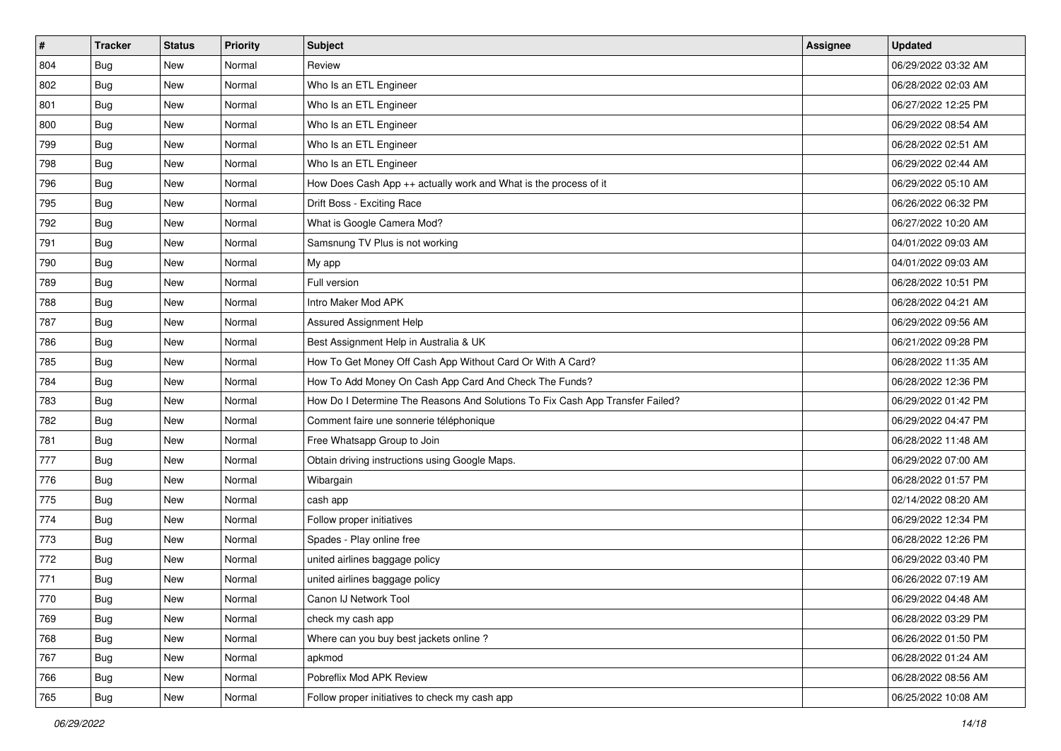| #   | <b>Tracker</b> | <b>Status</b> | <b>Priority</b> | <b>Subject</b>                                                                | <b>Assignee</b> | <b>Updated</b>      |
|-----|----------------|---------------|-----------------|-------------------------------------------------------------------------------|-----------------|---------------------|
| 804 | <b>Bug</b>     | New           | Normal          | Review                                                                        |                 | 06/29/2022 03:32 AM |
| 802 | Bug            | New           | Normal          | Who Is an ETL Engineer                                                        |                 | 06/28/2022 02:03 AM |
| 801 | Bug            | New           | Normal          | Who Is an ETL Engineer                                                        |                 | 06/27/2022 12:25 PM |
| 800 | <b>Bug</b>     | New           | Normal          | Who Is an ETL Engineer                                                        |                 | 06/29/2022 08:54 AM |
| 799 | Bug            | New           | Normal          | Who Is an ETL Engineer                                                        |                 | 06/28/2022 02:51 AM |
| 798 | <b>Bug</b>     | New           | Normal          | Who Is an ETL Engineer                                                        |                 | 06/29/2022 02:44 AM |
| 796 | Bug            | New           | Normal          | How Does Cash App ++ actually work and What is the process of it              |                 | 06/29/2022 05:10 AM |
| 795 | <b>Bug</b>     | New           | Normal          | Drift Boss - Exciting Race                                                    |                 | 06/26/2022 06:32 PM |
| 792 | <b>Bug</b>     | New           | Normal          | What is Google Camera Mod?                                                    |                 | 06/27/2022 10:20 AM |
| 791 | Bug            | New           | Normal          | Samsnung TV Plus is not working                                               |                 | 04/01/2022 09:03 AM |
| 790 | <b>Bug</b>     | New           | Normal          | My app                                                                        |                 | 04/01/2022 09:03 AM |
| 789 | Bug            | New           | Normal          | Full version                                                                  |                 | 06/28/2022 10:51 PM |
| 788 | Bug            | New           | Normal          | Intro Maker Mod APK                                                           |                 | 06/28/2022 04:21 AM |
| 787 | <b>Bug</b>     | New           | Normal          | Assured Assignment Help                                                       |                 | 06/29/2022 09:56 AM |
| 786 | <b>Bug</b>     | New           | Normal          | Best Assignment Help in Australia & UK                                        |                 | 06/21/2022 09:28 PM |
| 785 | Bug            | New           | Normal          | How To Get Money Off Cash App Without Card Or With A Card?                    |                 | 06/28/2022 11:35 AM |
| 784 | <b>Bug</b>     | New           | Normal          | How To Add Money On Cash App Card And Check The Funds?                        |                 | 06/28/2022 12:36 PM |
| 783 | Bug            | New           | Normal          | How Do I Determine The Reasons And Solutions To Fix Cash App Transfer Failed? |                 | 06/29/2022 01:42 PM |
| 782 | <b>Bug</b>     | New           | Normal          | Comment faire une sonnerie téléphonique                                       |                 | 06/29/2022 04:47 PM |
| 781 | <b>Bug</b>     | New           | Normal          | Free Whatsapp Group to Join                                                   |                 | 06/28/2022 11:48 AM |
| 777 | Bug            | New           | Normal          | Obtain driving instructions using Google Maps.                                |                 | 06/29/2022 07:00 AM |
| 776 | <b>Bug</b>     | New           | Normal          | Wibargain                                                                     |                 | 06/28/2022 01:57 PM |
| 775 | Bug            | New           | Normal          | cash app                                                                      |                 | 02/14/2022 08:20 AM |
| 774 | <b>Bug</b>     | New           | Normal          | Follow proper initiatives                                                     |                 | 06/29/2022 12:34 PM |
| 773 | Bug            | New           | Normal          | Spades - Play online free                                                     |                 | 06/28/2022 12:26 PM |
| 772 | Bug            | New           | Normal          | united airlines baggage policy                                                |                 | 06/29/2022 03:40 PM |
| 771 | <b>Bug</b>     | New           | Normal          | united airlines baggage policy                                                |                 | 06/26/2022 07:19 AM |
| 770 | <b>Bug</b>     | New           | Normal          | Canon IJ Network Tool                                                         |                 | 06/29/2022 04:48 AM |
| 769 | Bug            | New           | Normal          | check my cash app                                                             |                 | 06/28/2022 03:29 PM |
| 768 | Bug            | New           | Normal          | Where can you buy best jackets online?                                        |                 | 06/26/2022 01:50 PM |
| 767 | Bug            | New           | Normal          | apkmod                                                                        |                 | 06/28/2022 01:24 AM |
| 766 | <b>Bug</b>     | New           | Normal          | Pobreflix Mod APK Review                                                      |                 | 06/28/2022 08:56 AM |
| 765 | Bug            | New           | Normal          | Follow proper initiatives to check my cash app                                |                 | 06/25/2022 10:08 AM |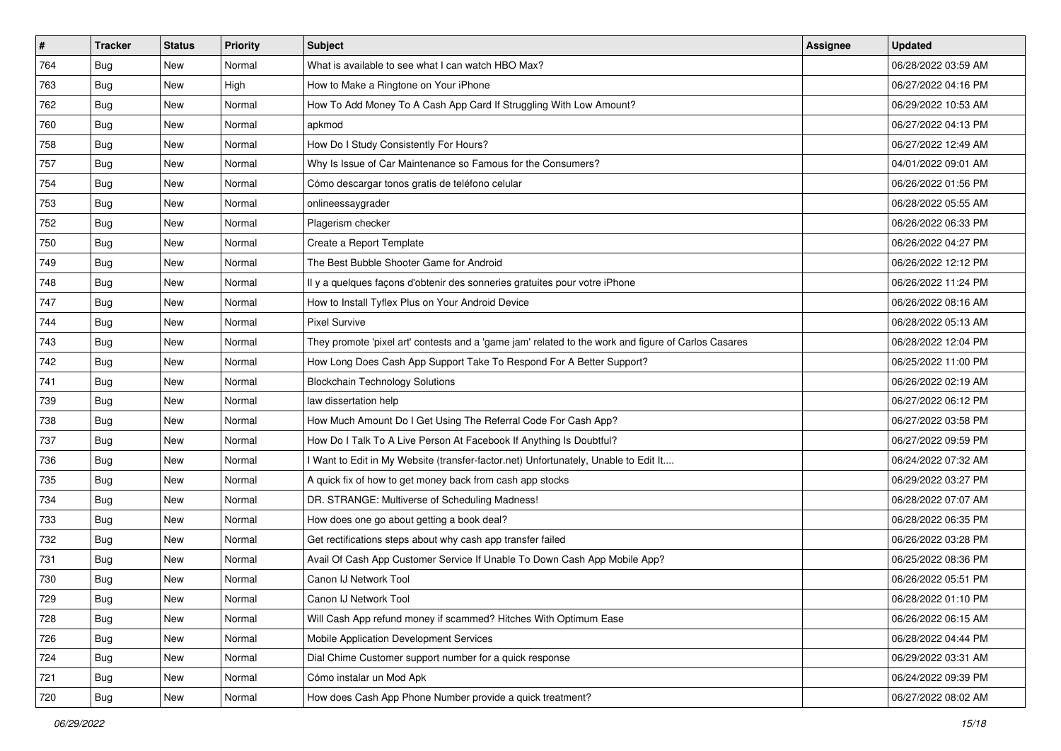| $\pmb{\#}$ | <b>Tracker</b> | <b>Status</b> | <b>Priority</b> | <b>Subject</b>                                                                                      | Assignee | <b>Updated</b>      |
|------------|----------------|---------------|-----------------|-----------------------------------------------------------------------------------------------------|----------|---------------------|
| 764        | Bug            | New           | Normal          | What is available to see what I can watch HBO Max?                                                  |          | 06/28/2022 03:59 AM |
| 763        | Bug            | New           | High            | How to Make a Ringtone on Your iPhone                                                               |          | 06/27/2022 04:16 PM |
| 762        | Bug            | New           | Normal          | How To Add Money To A Cash App Card If Struggling With Low Amount?                                  |          | 06/29/2022 10:53 AM |
| 760        | Bug            | New           | Normal          | apkmod                                                                                              |          | 06/27/2022 04:13 PM |
| 758        | <b>Bug</b>     | New           | Normal          | How Do I Study Consistently For Hours?                                                              |          | 06/27/2022 12:49 AM |
| 757        | <b>Bug</b>     | New           | Normal          | Why Is Issue of Car Maintenance so Famous for the Consumers?                                        |          | 04/01/2022 09:01 AM |
| 754        | Bug            | New           | Normal          | Cómo descargar tonos gratis de teléfono celular                                                     |          | 06/26/2022 01:56 PM |
| 753        | Bug            | New           | Normal          | onlineessaygrader                                                                                   |          | 06/28/2022 05:55 AM |
| 752        | Bug            | New           | Normal          | Plagerism checker                                                                                   |          | 06/26/2022 06:33 PM |
| 750        | Bug            | New           | Normal          | Create a Report Template                                                                            |          | 06/26/2022 04:27 PM |
| 749        | Bug            | New           | Normal          | The Best Bubble Shooter Game for Android                                                            |          | 06/26/2022 12:12 PM |
| 748        | Bug            | New           | Normal          | Il y a quelques façons d'obtenir des sonneries gratuites pour votre iPhone                          |          | 06/26/2022 11:24 PM |
| 747        | Bug            | New           | Normal          | How to Install Tyflex Plus on Your Android Device                                                   |          | 06/26/2022 08:16 AM |
| 744        | <b>Bug</b>     | New           | Normal          | <b>Pixel Survive</b>                                                                                |          | 06/28/2022 05:13 AM |
| 743        | <b>Bug</b>     | New           | Normal          | They promote 'pixel art' contests and a 'game jam' related to the work and figure of Carlos Casares |          | 06/28/2022 12:04 PM |
| 742        | Bug            | New           | Normal          | How Long Does Cash App Support Take To Respond For A Better Support?                                |          | 06/25/2022 11:00 PM |
| 741        | <b>Bug</b>     | New           | Normal          | <b>Blockchain Technology Solutions</b>                                                              |          | 06/26/2022 02:19 AM |
| 739        | <b>Bug</b>     | New           | Normal          | law dissertation help                                                                               |          | 06/27/2022 06:12 PM |
| 738        | Bug            | New           | Normal          | How Much Amount Do I Get Using The Referral Code For Cash App?                                      |          | 06/27/2022 03:58 PM |
| 737        | Bug            | New           | Normal          | How Do I Talk To A Live Person At Facebook If Anything Is Doubtful?                                 |          | 06/27/2022 09:59 PM |
| 736        | Bug            | New           | Normal          | I Want to Edit in My Website (transfer-factor.net) Unfortunately, Unable to Edit It                 |          | 06/24/2022 07:32 AM |
| 735        | Bug            | New           | Normal          | A quick fix of how to get money back from cash app stocks                                           |          | 06/29/2022 03:27 PM |
| 734        | Bug            | New           | Normal          | DR. STRANGE: Multiverse of Scheduling Madness!                                                      |          | 06/28/2022 07:07 AM |
| 733        | <b>Bug</b>     | New           | Normal          | How does one go about getting a book deal?                                                          |          | 06/28/2022 06:35 PM |
| 732        | Bug            | New           | Normal          | Get rectifications steps about why cash app transfer failed                                         |          | 06/26/2022 03:28 PM |
| 731        | Bug            | New           | Normal          | Avail Of Cash App Customer Service If Unable To Down Cash App Mobile App?                           |          | 06/25/2022 08:36 PM |
| 730        | <b>Bug</b>     | New           | Normal          | Canon IJ Network Tool                                                                               |          | 06/26/2022 05:51 PM |
| 729        | <b>Bug</b>     | New           | Normal          | Canon IJ Network Tool                                                                               |          | 06/28/2022 01:10 PM |
| 728        | Bug            | New           | Normal          | Will Cash App refund money if scammed? Hitches With Optimum Ease                                    |          | 06/26/2022 06:15 AM |
| 726        | Bug            | New           | Normal          | Mobile Application Development Services                                                             |          | 06/28/2022 04:44 PM |
| 724        | Bug            | New           | Normal          | Dial Chime Customer support number for a quick response                                             |          | 06/29/2022 03:31 AM |
| 721        | <b>Bug</b>     | New           | Normal          | Cómo instalar un Mod Apk                                                                            |          | 06/24/2022 09:39 PM |
| 720        | <b>Bug</b>     | New           | Normal          | How does Cash App Phone Number provide a quick treatment?                                           |          | 06/27/2022 08:02 AM |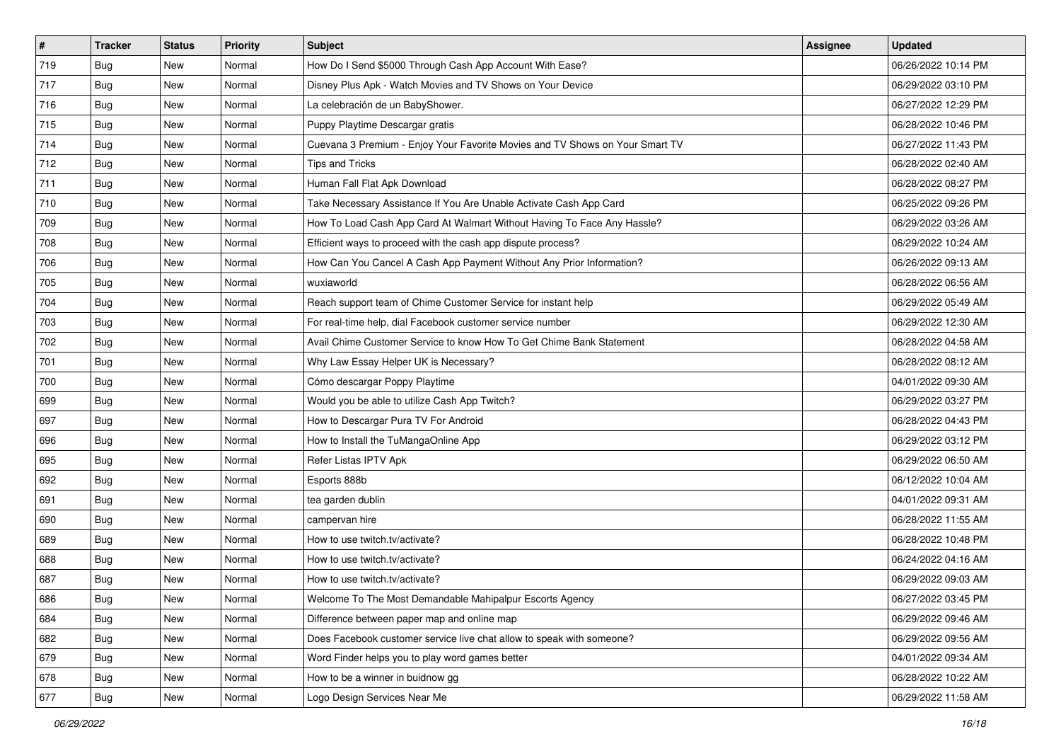| $\sharp$ | <b>Tracker</b> | <b>Status</b> | <b>Priority</b> | Subject                                                                      | Assignee | <b>Updated</b>      |
|----------|----------------|---------------|-----------------|------------------------------------------------------------------------------|----------|---------------------|
| 719      | Bug            | New           | Normal          | How Do I Send \$5000 Through Cash App Account With Ease?                     |          | 06/26/2022 10:14 PM |
| 717      | Bug            | New           | Normal          | Disney Plus Apk - Watch Movies and TV Shows on Your Device                   |          | 06/29/2022 03:10 PM |
| 716      | Bug            | New           | Normal          | La celebración de un BabyShower.                                             |          | 06/27/2022 12:29 PM |
| 715      | Bug            | New           | Normal          | Puppy Playtime Descargar gratis                                              |          | 06/28/2022 10:46 PM |
| 714      | <b>Bug</b>     | New           | Normal          | Cuevana 3 Premium - Enjoy Your Favorite Movies and TV Shows on Your Smart TV |          | 06/27/2022 11:43 PM |
| 712      | Bug            | New           | Normal          | <b>Tips and Tricks</b>                                                       |          | 06/28/2022 02:40 AM |
| 711      | Bug            | New           | Normal          | Human Fall Flat Apk Download                                                 |          | 06/28/2022 08:27 PM |
| 710      | <b>Bug</b>     | New           | Normal          | Take Necessary Assistance If You Are Unable Activate Cash App Card           |          | 06/25/2022 09:26 PM |
| 709      | Bug            | New           | Normal          | How To Load Cash App Card At Walmart Without Having To Face Any Hassle?      |          | 06/29/2022 03:26 AM |
| 708      | Bug            | New           | Normal          | Efficient ways to proceed with the cash app dispute process?                 |          | 06/29/2022 10:24 AM |
| 706      | Bug            | New           | Normal          | How Can You Cancel A Cash App Payment Without Any Prior Information?         |          | 06/26/2022 09:13 AM |
| 705      | Bug            | New           | Normal          | wuxiaworld                                                                   |          | 06/28/2022 06:56 AM |
| 704      | Bug            | New           | Normal          | Reach support team of Chime Customer Service for instant help                |          | 06/29/2022 05:49 AM |
| 703      | Bug            | New           | Normal          | For real-time help, dial Facebook customer service number                    |          | 06/29/2022 12:30 AM |
| 702      | Bug            | New           | Normal          | Avail Chime Customer Service to know How To Get Chime Bank Statement         |          | 06/28/2022 04:58 AM |
| 701      | Bug            | New           | Normal          | Why Law Essay Helper UK is Necessary?                                        |          | 06/28/2022 08:12 AM |
| 700      | Bug            | New           | Normal          | Cómo descargar Poppy Playtime                                                |          | 04/01/2022 09:30 AM |
| 699      | Bug            | New           | Normal          | Would you be able to utilize Cash App Twitch?                                |          | 06/29/2022 03:27 PM |
| 697      | <b>Bug</b>     | New           | Normal          | How to Descargar Pura TV For Android                                         |          | 06/28/2022 04:43 PM |
| 696      | Bug            | New           | Normal          | How to Install the TuMangaOnline App                                         |          | 06/29/2022 03:12 PM |
| 695      | Bug            | New           | Normal          | Refer Listas IPTV Apk                                                        |          | 06/29/2022 06:50 AM |
| 692      | Bug            | New           | Normal          | Esports 888b                                                                 |          | 06/12/2022 10:04 AM |
| 691      | Bug            | New           | Normal          | tea garden dublin                                                            |          | 04/01/2022 09:31 AM |
| 690      | Bug            | New           | Normal          | campervan hire                                                               |          | 06/28/2022 11:55 AM |
| 689      | Bug            | New           | Normal          | How to use twitch.tv/activate?                                               |          | 06/28/2022 10:48 PM |
| 688      | Bug            | New           | Normal          | How to use twitch.tv/activate?                                               |          | 06/24/2022 04:16 AM |
| 687      | Bug            | New           | Normal          | How to use twitch.tv/activate?                                               |          | 06/29/2022 09:03 AM |
| 686      | <b>Bug</b>     | New           | Normal          | Welcome To The Most Demandable Mahipalpur Escorts Agency                     |          | 06/27/2022 03:45 PM |
| 684      | <b>Bug</b>     | New           | Normal          | Difference between paper map and online map                                  |          | 06/29/2022 09:46 AM |
| 682      | Bug            | New           | Normal          | Does Facebook customer service live chat allow to speak with someone?        |          | 06/29/2022 09:56 AM |
| 679      | Bug            | New           | Normal          | Word Finder helps you to play word games better                              |          | 04/01/2022 09:34 AM |
| 678      | <b>Bug</b>     | New           | Normal          | How to be a winner in buidnow gg                                             |          | 06/28/2022 10:22 AM |
| 677      | <b>Bug</b>     | New           | Normal          | Logo Design Services Near Me                                                 |          | 06/29/2022 11:58 AM |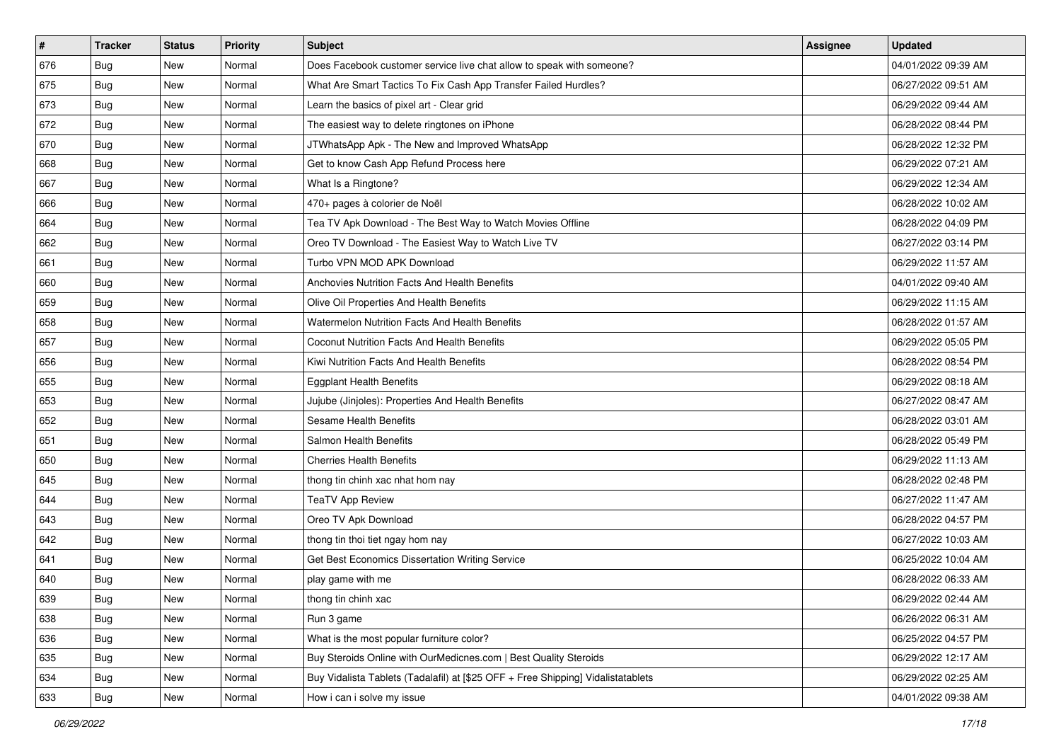| #   | <b>Tracker</b> | <b>Status</b> | Priority | <b>Subject</b>                                                                   | Assignee | <b>Updated</b>      |
|-----|----------------|---------------|----------|----------------------------------------------------------------------------------|----------|---------------------|
| 676 | <b>Bug</b>     | New           | Normal   | Does Facebook customer service live chat allow to speak with someone?            |          | 04/01/2022 09:39 AM |
| 675 | Bug            | New           | Normal   | What Are Smart Tactics To Fix Cash App Transfer Failed Hurdles?                  |          | 06/27/2022 09:51 AM |
| 673 | Bug            | New           | Normal   | Learn the basics of pixel art - Clear grid                                       |          | 06/29/2022 09:44 AM |
| 672 | <b>Bug</b>     | New           | Normal   | The easiest way to delete ringtones on iPhone                                    |          | 06/28/2022 08:44 PM |
| 670 | Bug            | New           | Normal   | JTWhatsApp Apk - The New and Improved WhatsApp                                   |          | 06/28/2022 12:32 PM |
| 668 | <b>Bug</b>     | New           | Normal   | Get to know Cash App Refund Process here                                         |          | 06/29/2022 07:21 AM |
| 667 | <b>Bug</b>     | New           | Normal   | What Is a Ringtone?                                                              |          | 06/29/2022 12:34 AM |
| 666 | Bug            | New           | Normal   | 470+ pages à colorier de Noël                                                    |          | 06/28/2022 10:02 AM |
| 664 | Bug            | New           | Normal   | Tea TV Apk Download - The Best Way to Watch Movies Offline                       |          | 06/28/2022 04:09 PM |
| 662 | Bug            | New           | Normal   | Oreo TV Download - The Easiest Way to Watch Live TV                              |          | 06/27/2022 03:14 PM |
| 661 | Bug            | New           | Normal   | Turbo VPN MOD APK Download                                                       |          | 06/29/2022 11:57 AM |
| 660 | <b>Bug</b>     | New           | Normal   | Anchovies Nutrition Facts And Health Benefits                                    |          | 04/01/2022 09:40 AM |
| 659 | Bug            | New           | Normal   | Olive Oil Properties And Health Benefits                                         |          | 06/29/2022 11:15 AM |
| 658 | <b>Bug</b>     | New           | Normal   | Watermelon Nutrition Facts And Health Benefits                                   |          | 06/28/2022 01:57 AM |
| 657 | <b>Bug</b>     | New           | Normal   | Coconut Nutrition Facts And Health Benefits                                      |          | 06/29/2022 05:05 PM |
| 656 | Bug            | New           | Normal   | Kiwi Nutrition Facts And Health Benefits                                         |          | 06/28/2022 08:54 PM |
| 655 | <b>Bug</b>     | New           | Normal   | <b>Eggplant Health Benefits</b>                                                  |          | 06/29/2022 08:18 AM |
| 653 | Bug            | New           | Normal   | Jujube (Jinjoles): Properties And Health Benefits                                |          | 06/27/2022 08:47 AM |
| 652 | <b>Bug</b>     | New           | Normal   | Sesame Health Benefits                                                           |          | 06/28/2022 03:01 AM |
| 651 | Bug            | New           | Normal   | Salmon Health Benefits                                                           |          | 06/28/2022 05:49 PM |
| 650 | Bug            | New           | Normal   | <b>Cherries Health Benefits</b>                                                  |          | 06/29/2022 11:13 AM |
| 645 | Bug            | New           | Normal   | thong tin chinh xac nhat hom nay                                                 |          | 06/28/2022 02:48 PM |
| 644 | <b>Bug</b>     | New           | Normal   | <b>TeaTV App Review</b>                                                          |          | 06/27/2022 11:47 AM |
| 643 | <b>Bug</b>     | New           | Normal   | Oreo TV Apk Download                                                             |          | 06/28/2022 04:57 PM |
| 642 | <b>Bug</b>     | New           | Normal   | thong tin thoi tiet ngay hom nay                                                 |          | 06/27/2022 10:03 AM |
| 641 | Bug            | New           | Normal   | Get Best Economics Dissertation Writing Service                                  |          | 06/25/2022 10:04 AM |
| 640 | Bug            | New           | Normal   | play game with me                                                                |          | 06/28/2022 06:33 AM |
| 639 | <b>Bug</b>     | New           | Normal   | thong tin chinh xac                                                              |          | 06/29/2022 02:44 AM |
| 638 | Bug            | New           | Normal   | Run 3 game                                                                       |          | 06/26/2022 06:31 AM |
| 636 | <b>Bug</b>     | New           | Normal   | What is the most popular furniture color?                                        |          | 06/25/2022 04:57 PM |
| 635 | Bug            | New           | Normal   | Buy Steroids Online with OurMedicnes.com   Best Quality Steroids                 |          | 06/29/2022 12:17 AM |
| 634 | <b>Bug</b>     | New           | Normal   | Buy Vidalista Tablets (Tadalafil) at [\$25 OFF + Free Shipping] Vidalistatablets |          | 06/29/2022 02:25 AM |
| 633 | <b>Bug</b>     | New           | Normal   | How i can i solve my issue                                                       |          | 04/01/2022 09:38 AM |